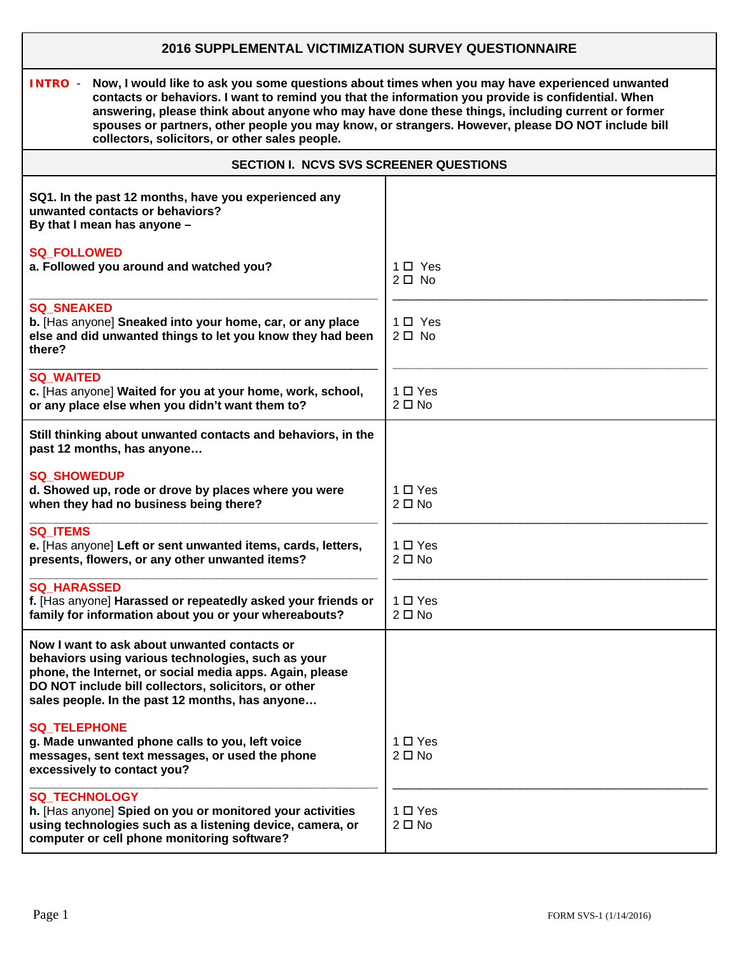# **2016 SUPPLEMENTAL VICTIMIZATION SURVEY QUESTIONNAIRE**

**INTRO** - **Now, I would like to ask you some questions about times when you may have experienced unwanted contacts or behaviors. I want to remind you that the information you provide is confidential. When answering, please think about anyone who may have done these things, including current or former spouses or partners, other people you may know, or strangers. However, please DO NOT include bill collectors, solicitors, or other sales people.** 

| <b>SECTION I. NCVS SVS SCREENER QUESTIONS</b>                                                                                                                                                                                                                             |                               |  |
|---------------------------------------------------------------------------------------------------------------------------------------------------------------------------------------------------------------------------------------------------------------------------|-------------------------------|--|
| SQ1. In the past 12 months, have you experienced any<br>unwanted contacts or behaviors?<br>By that I mean has anyone -                                                                                                                                                    |                               |  |
| <b>SQ_FOLLOWED</b><br>a. Followed you around and watched you?                                                                                                                                                                                                             | $1 \Box$ Yes<br>$2 \Box$ No   |  |
| <b>SQ SNEAKED</b><br>b. [Has anyone] Sneaked into your home, car, or any place<br>else and did unwanted things to let you know they had been<br>there?                                                                                                                    | $1 \Box$ Yes<br>$2\square$ No |  |
| <b>SQ_WAITED</b><br>c. [Has anyone] Waited for you at your home, work, school,<br>or any place else when you didn't want them to?                                                                                                                                         | 1 O Yes<br>$2 \Box$ No        |  |
| Still thinking about unwanted contacts and behaviors, in the<br>past 12 months, has anyone                                                                                                                                                                                |                               |  |
| <b>SQ SHOWEDUP</b><br>d. Showed up, rode or drove by places where you were<br>when they had no business being there?                                                                                                                                                      | $1 \Box Y$ es<br>$2 \Box$ No  |  |
| <b>SQ ITEMS</b><br>e. [Has anyone] Left or sent unwanted items, cards, letters,<br>presents, flowers, or any other unwanted items?                                                                                                                                        | $1 \Box Y$ es<br>$2 \Box$ No  |  |
| <b>SQ HARASSED</b><br>f. [Has anyone] Harassed or repeatedly asked your friends or<br>family for information about you or your whereabouts?                                                                                                                               | $1 \Box Y$ es<br>$2 \Box$ No  |  |
| Now I want to ask about unwanted contacts or<br>behaviors using various technologies, such as your<br>phone, the Internet, or social media apps. Again, please<br>DO NOT include bill collectors, solicitors, or other<br>sales people. In the past 12 months, has anyone |                               |  |
| <b>SQ_TELEPHONE</b><br>g. Made unwanted phone calls to you, left voice<br>messages, sent text messages, or used the phone<br>excessively to contact you?                                                                                                                  | 1 □ Yes<br>$2 \Box$ No        |  |
| SQ_TECHNOLOGY<br>h. [Has anyone] Spied on you or monitored your activities<br>using technologies such as a listening device, camera, or<br>computer or cell phone monitoring software?                                                                                    | $1 \Box Y$ es<br>$2 \Box$ No  |  |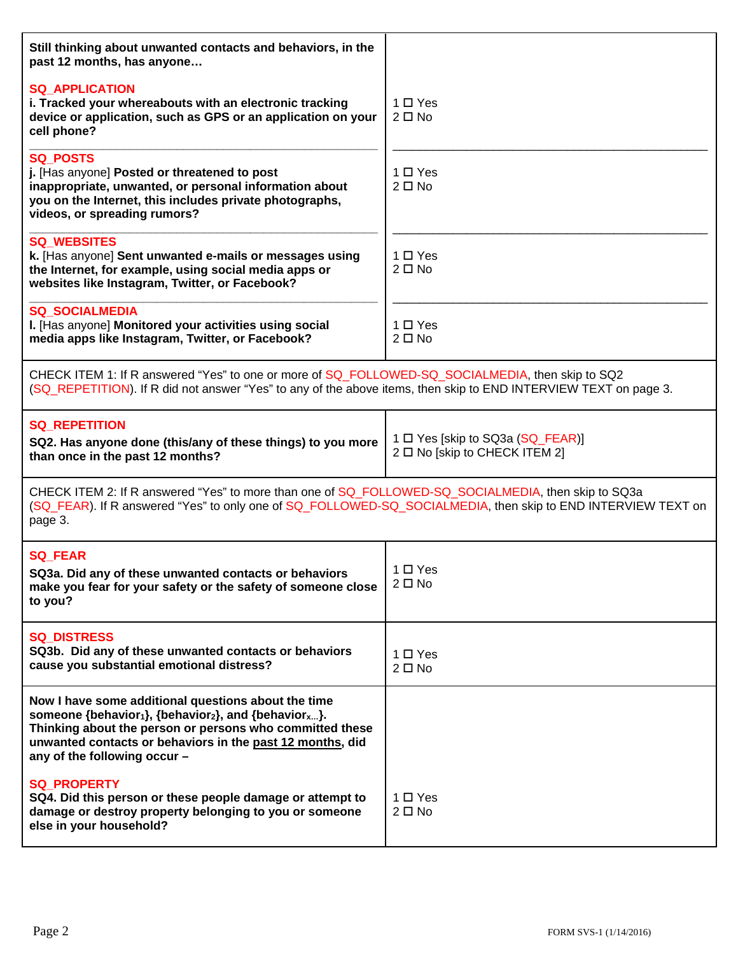| Still thinking about unwanted contacts and behaviors, in the<br>past 12 months, has anyone                                                                                                                                                                                                                |                                                                   |  |
|-----------------------------------------------------------------------------------------------------------------------------------------------------------------------------------------------------------------------------------------------------------------------------------------------------------|-------------------------------------------------------------------|--|
| <b>SQ APPLICATION</b><br>i. Tracked your whereabouts with an electronic tracking<br>device or application, such as GPS or an application on your<br>cell phone?                                                                                                                                           | $1 \Box Y$ es<br>$2 \Box$ No                                      |  |
| <b>SQ POSTS</b><br>j. [Has anyone] Posted or threatened to post<br>inappropriate, unwanted, or personal information about<br>you on the Internet, this includes private photographs,<br>videos, or spreading rumors?                                                                                      | $1 \Box Y$ es<br>$2 \Box$ No                                      |  |
| <b>SQ WEBSITES</b><br>k. [Has anyone] Sent unwanted e-mails or messages using<br>the Internet, for example, using social media apps or<br>websites like Instagram, Twitter, or Facebook?                                                                                                                  | $1 \Box Y$ es<br>$2 \Box$ No                                      |  |
| <b>SQ SOCIALMEDIA</b><br>I. [Has anyone] Monitored your activities using social<br>media apps like Instagram, Twitter, or Facebook?                                                                                                                                                                       | $1 \Box Y$ es<br>$2 \Box$ No                                      |  |
| CHECK ITEM 1: If R answered "Yes" to one or more of SQ_FOLLOWED-SQ_SOCIALMEDIA, then skip to SQ2<br>(SQ_REPETITION). If R did not answer "Yes" to any of the above items, then skip to END INTERVIEW TEXT on page 3.                                                                                      |                                                                   |  |
| <b>SQ REPETITION</b>                                                                                                                                                                                                                                                                                      |                                                                   |  |
| SQ2. Has anyone done (this/any of these things) to you more<br>than once in the past 12 months?                                                                                                                                                                                                           | 1 □ Yes [skip to SQ3a (SQ_FEAR)]<br>2 □ No [skip to CHECK ITEM 2] |  |
| CHECK ITEM 2: If R answered "Yes" to more than one of SQ_FOLLOWED-SQ_SOCIALMEDIA, then skip to SQ3a<br>(SQ_FEAR). If R answered "Yes" to only one of SQ_FOLLOWED-SQ_SOCIALMEDIA, then skip to END INTERVIEW TEXT on<br>page 3.                                                                            |                                                                   |  |
| <b>SQ_FEAR</b><br>SQ3a. Did any of these unwanted contacts or behaviors<br>make you fear for your safety or the safety of someone close<br>to you?                                                                                                                                                        | $1 \Box Y$ es<br>$2 \Box$ No                                      |  |
| <b>SQ DISTRESS</b><br>SQ3b. Did any of these unwanted contacts or behaviors<br>cause you substantial emotional distress?                                                                                                                                                                                  | $1 \Box Y$ es<br>$2 \Box$ No                                      |  |
| Now I have some additional questions about the time<br>someone {behavior <sub>1</sub> }, {behavior <sub>2</sub> }, and {behavior <sub>x</sub> }.<br>Thinking about the person or persons who committed these<br>unwanted contacts or behaviors in the past 12 months, did<br>any of the following occur - |                                                                   |  |
| <b>SQ PROPERTY</b><br>SQ4. Did this person or these people damage or attempt to<br>damage or destroy property belonging to you or someone<br>else in your household?                                                                                                                                      | 1 □ Yes<br>$2 \Box$ No                                            |  |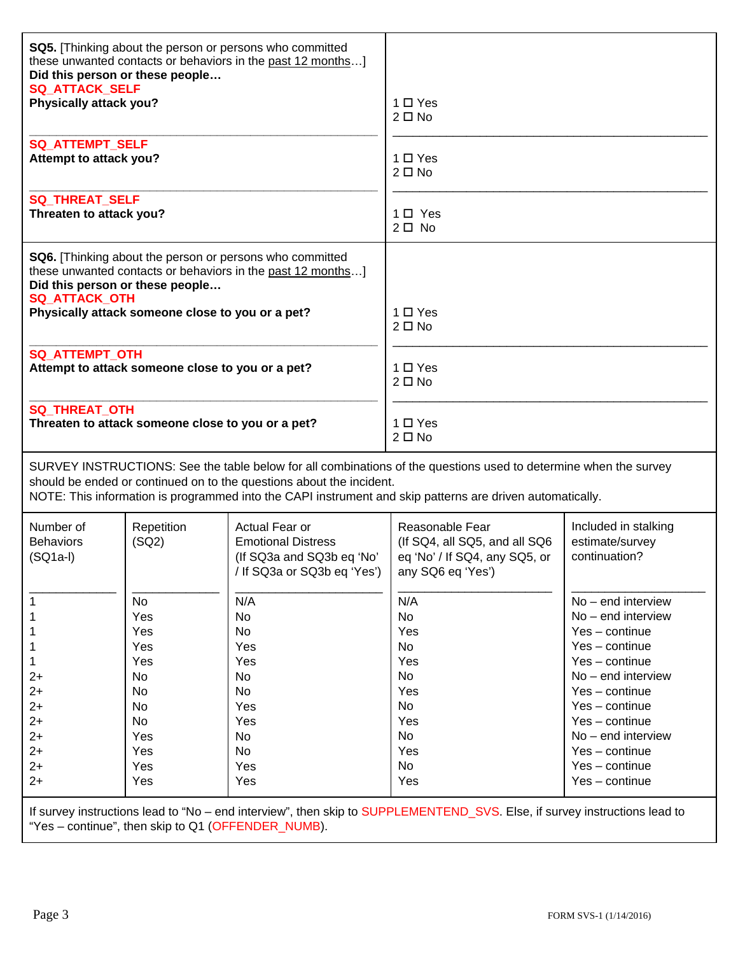| <b>SQ_ATTACK_SELF</b><br>Physically attack you?                                                                                                                                                                                                                                                       | Did this person or these people                                                     | SQ5. [Thinking about the person or persons who committed<br>these unwanted contacts or behaviors in the past 12 months] | 1 □ Yes<br>$2 \Box$ No                                                                                 |                                                                                                                                                                                                                                                                                |
|-------------------------------------------------------------------------------------------------------------------------------------------------------------------------------------------------------------------------------------------------------------------------------------------------------|-------------------------------------------------------------------------------------|-------------------------------------------------------------------------------------------------------------------------|--------------------------------------------------------------------------------------------------------|--------------------------------------------------------------------------------------------------------------------------------------------------------------------------------------------------------------------------------------------------------------------------------|
| <b>SQ_ATTEMPT_SELF</b><br>Attempt to attack you?                                                                                                                                                                                                                                                      |                                                                                     |                                                                                                                         | 1 O Yes<br>$2 \Box$ No                                                                                 |                                                                                                                                                                                                                                                                                |
| <b>SQ_THREAT_SELF</b><br>Threaten to attack you?                                                                                                                                                                                                                                                      |                                                                                     |                                                                                                                         | $1 \Box$ Yes<br>$2 \Box$ No                                                                            |                                                                                                                                                                                                                                                                                |
| <b>SQ_ATTACK_OTH</b>                                                                                                                                                                                                                                                                                  | Did this person or these people<br>Physically attack someone close to you or a pet? | SQ6. [Thinking about the person or persons who committed<br>these unwanted contacts or behaviors in the past 12 months] | $1 \Box Y$ es<br>$2 \Box$ No                                                                           |                                                                                                                                                                                                                                                                                |
| <b>SQ ATTEMPT OTH</b>                                                                                                                                                                                                                                                                                 | Attempt to attack someone close to you or a pet?                                    |                                                                                                                         | $1 \Box Y$ es<br>$2 \Box$ No                                                                           |                                                                                                                                                                                                                                                                                |
| <b>SQ_THREAT_OTH</b>                                                                                                                                                                                                                                                                                  | Threaten to attack someone close to you or a pet?                                   |                                                                                                                         | 1 □ Yes<br>$2 \Box$ No                                                                                 |                                                                                                                                                                                                                                                                                |
| SURVEY INSTRUCTIONS: See the table below for all combinations of the questions used to determine when the survey<br>should be ended or continued on to the questions about the incident.<br>NOTE: This information is programmed into the CAPI instrument and skip patterns are driven automatically. |                                                                                     |                                                                                                                         |                                                                                                        |                                                                                                                                                                                                                                                                                |
| Number of<br><b>Behaviors</b><br>$(SQ1a-I)$                                                                                                                                                                                                                                                           | Repetition<br>(SQ2)                                                                 | Actual Fear or<br><b>Emotional Distress</b><br>(If SQ3a and SQ3b eq 'No'<br>/ If SQ3a or SQ3b eq 'Yes')                 | Reasonable Fear<br>(If SQ4, all SQ5, and all SQ6<br>eq 'No' / If SQ4, any SQ5, or<br>any SQ6 eq 'Yes') | Included in stalking<br>estimate/survey<br>continuation?                                                                                                                                                                                                                       |
| $2+$<br>$2+$<br>$2+$<br>$2+$<br>$2+$<br>$2+$<br>$2+$<br>$2+$                                                                                                                                                                                                                                          | No<br>Yes<br>Yes<br>Yes<br>Yes<br>No<br>No<br>No<br>No<br>Yes<br>Yes<br>Yes<br>Yes  | N/A<br><b>No</b><br><b>No</b><br>Yes<br>Yes<br><b>No</b><br><b>No</b><br>Yes<br>Yes<br><b>No</b><br>No<br>Yes<br>Yes    | N/A<br>No<br>Yes<br>No<br>Yes<br>No<br>Yes<br>No<br>Yes<br>No<br>Yes<br>No<br>Yes                      | No - end interview<br>$No$ – end interview<br>$Yes$ – continue<br>$Yes$ – continue<br>$Yes$ – continue<br>$No$ – end interview<br>$Yes$ – continue<br>$Yes$ – continue<br>$Yes$ – continue<br>$No$ – end interview<br>$Yes$ – continue<br>$Yes$ – continue<br>$Yes$ – continue |

If survey instructions lead to "No – end interview", then skip to SUPPLEMENTEND\_SVS. Else, if survey instructions lead to "Yes – continue", then skip to Q1 (OFFENDER\_NUMB).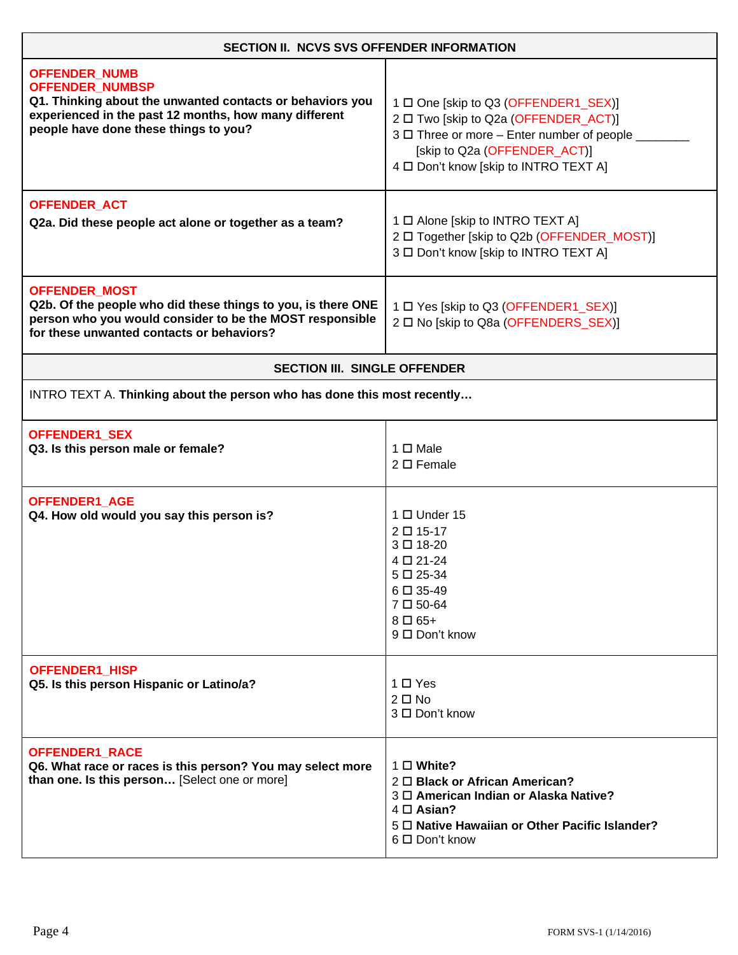| <b>SECTION II. NCVS SVS OFFENDER INFORMATION</b>                                                                                                                                                              |                                                                                                                                                                                                              |  |
|---------------------------------------------------------------------------------------------------------------------------------------------------------------------------------------------------------------|--------------------------------------------------------------------------------------------------------------------------------------------------------------------------------------------------------------|--|
| <b>OFFENDER_NUMB</b><br><b>OFFENDER_NUMBSP</b><br>Q1. Thinking about the unwanted contacts or behaviors you<br>experienced in the past 12 months, how many different<br>people have done these things to you? | 1 □ One [skip to Q3 (OFFENDER1_SEX)]<br>2 □ Two [skip to Q2a (OFFENDER_ACT)]<br>3 □ Three or more - Enter number of people _<br>[skip to Q2a (OFFENDER_ACT)]<br>4 D Don't know [skip to INTRO TEXT A]        |  |
| <b>OFFENDER_ACT</b><br>Q2a. Did these people act alone or together as a team?                                                                                                                                 | 1 □ Alone [skip to INTRO TEXT A]<br>2 □ Together [skip to Q2b (OFFENDER_MOST)]<br>3 □ Don't know [skip to INTRO TEXT A]                                                                                      |  |
| <b>OFFENDER_MOST</b><br>Q2b. Of the people who did these things to you, is there ONE<br>person who you would consider to be the MOST responsible<br>for these unwanted contacts or behaviors?                 | 1 □ Yes [skip to Q3 (OFFENDER1_SEX)]<br>2 0 No [skip to Q8a (OFFENDERS SEX)]                                                                                                                                 |  |
| <b>SECTION III. SINGLE OFFENDER</b>                                                                                                                                                                           |                                                                                                                                                                                                              |  |
| INTRO TEXT A. Thinking about the person who has done this most recently                                                                                                                                       |                                                                                                                                                                                                              |  |
| OFFENDER1_SEX<br>Q3. Is this person male or female?                                                                                                                                                           | $1 \Box$ Male<br>$2 \Box$ Female                                                                                                                                                                             |  |
| <b>OFFENDER1 AGE</b><br>Q4. How old would you say this person is?                                                                                                                                             | $1 \Box$ Under 15<br>2 □ 15-17<br>3□ 18-20<br>4 □ 21-24<br>5□ 25-34<br>6□ 35-49<br>$7 \Box 50 - 64$<br>$8 \Box 65+$<br>9 □ Don't know                                                                        |  |
| OFFENDER1_HISP<br>Q5. Is this person Hispanic or Latino/a?                                                                                                                                                    | 1 □ Yes<br>$2 \Box$ No<br>3 □ Don't know                                                                                                                                                                     |  |
| OFFENDER1_RACE<br>Q6. What race or races is this person? You may select more<br>than one. Is this person [Select one or more]                                                                                 | $1 \Box$ White?<br>$2 \Box$ Black or African American?<br>3 <sup>O</sup> American Indian or Alaska Native?<br>$4 \Box$ Asian?<br>5 <sup>D</sup> Native Hawaiian or Other Pacific Islander?<br>6 □ Don't know |  |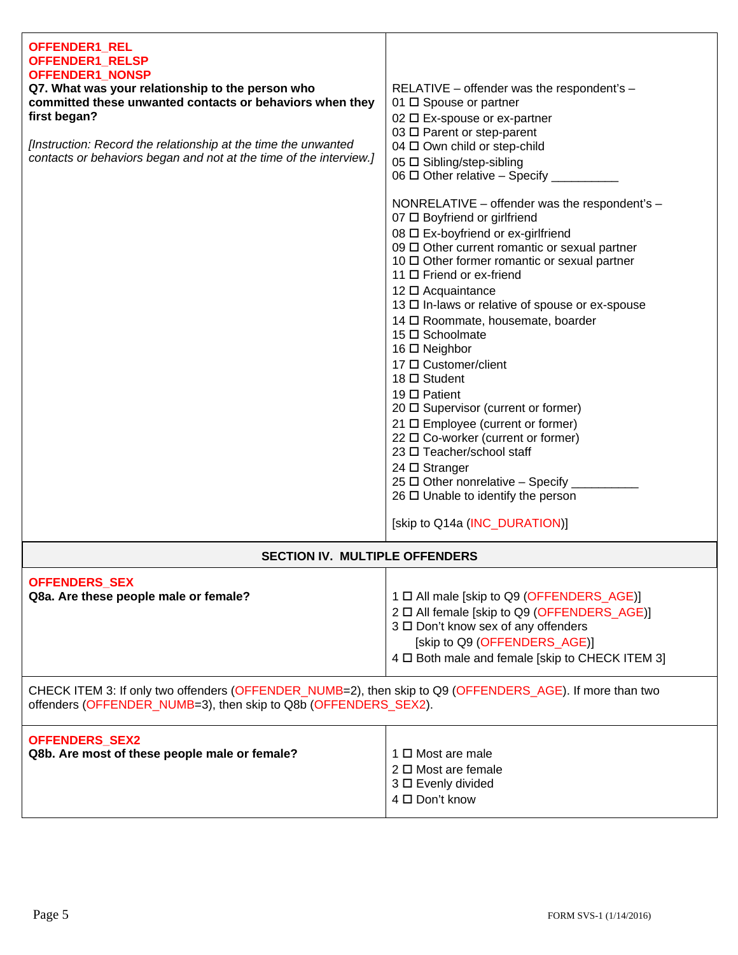| OFFENDER1_REL<br>OFFENDER1_RELSP<br>OFFENDER1_NONSP<br>Q7. What was your relationship to the person who<br>committed these unwanted contacts or behaviors when they<br>first began?<br>[Instruction: Record the relationship at the time the unwanted<br>contacts or behaviors began and not at the time of the interview.] | RELATIVE - offender was the respondent's -<br>01 □ Spouse or partner<br>02 □ Ex-spouse or ex-partner<br>03 □ Parent or step-parent<br>04 □ Own child or step-child<br>05 □ Sibling/step-sibling<br>06 $\Box$ Other relative - Specify __<br>NONRELATIVE - offender was the respondent's -<br>07 □ Boyfriend or girlfriend<br>08 □ Ex-boyfriend or ex-girlfriend<br>09 Other current romantic or sexual partner<br>10 □ Other former romantic or sexual partner<br>11 □ Friend or ex-friend<br>12 □ Acquaintance<br>13 □ In-laws or relative of spouse or ex-spouse<br>14 □ Roommate, housemate, boarder<br>15 □ Schoolmate<br>16 □ Neighbor<br>17 □ Customer/client<br>18 □ Student<br>19 $\Box$ Patient<br>20 □ Supervisor (current or former)<br>21 □ Employee (current or former)<br>22 □ Co-worker (current or former)<br>23 □ Teacher/school staff<br>$24 \square$ Stranger<br>25 $\Box$ Other nonrelative - Specify |  |
|-----------------------------------------------------------------------------------------------------------------------------------------------------------------------------------------------------------------------------------------------------------------------------------------------------------------------------|---------------------------------------------------------------------------------------------------------------------------------------------------------------------------------------------------------------------------------------------------------------------------------------------------------------------------------------------------------------------------------------------------------------------------------------------------------------------------------------------------------------------------------------------------------------------------------------------------------------------------------------------------------------------------------------------------------------------------------------------------------------------------------------------------------------------------------------------------------------------------------------------------------------------------|--|
|                                                                                                                                                                                                                                                                                                                             | $26 \Box$ Unable to identify the person<br>[skip to Q14a (INC_DURATION)]                                                                                                                                                                                                                                                                                                                                                                                                                                                                                                                                                                                                                                                                                                                                                                                                                                                  |  |
| <b>SECTION IV. MULTIPLE OFFENDERS</b>                                                                                                                                                                                                                                                                                       |                                                                                                                                                                                                                                                                                                                                                                                                                                                                                                                                                                                                                                                                                                                                                                                                                                                                                                                           |  |
| <b>OFFENDERS_SEX</b><br>Q8a. Are these people male or female?                                                                                                                                                                                                                                                               | 1 □ All male [skip to Q9 (OFFENDERS_AGE)]<br>2 □ All female [skip to Q9 (OFFENDERS_AGE)]<br>3 □ Don't know sex of any offenders<br>[skip to Q9 (OFFENDERS_AGE)]<br>4 D Both male and female [skip to CHECK ITEM 3]                                                                                                                                                                                                                                                                                                                                                                                                                                                                                                                                                                                                                                                                                                        |  |
| CHECK ITEM 3: If only two offenders (OFFENDER_NUMB=2), then skip to Q9 (OFFENDERS_AGE). If more than two<br>offenders (OFFENDER_NUMB=3), then skip to Q8b (OFFENDERS_SEX2).                                                                                                                                                 |                                                                                                                                                                                                                                                                                                                                                                                                                                                                                                                                                                                                                                                                                                                                                                                                                                                                                                                           |  |
| OFFENDERS_SEX2<br>Q8b. Are most of these people male or female?                                                                                                                                                                                                                                                             | 1 □ Most are male<br>$2 \Box$ Most are female<br>3 □ Evenly divided<br>4 □ Don't know                                                                                                                                                                                                                                                                                                                                                                                                                                                                                                                                                                                                                                                                                                                                                                                                                                     |  |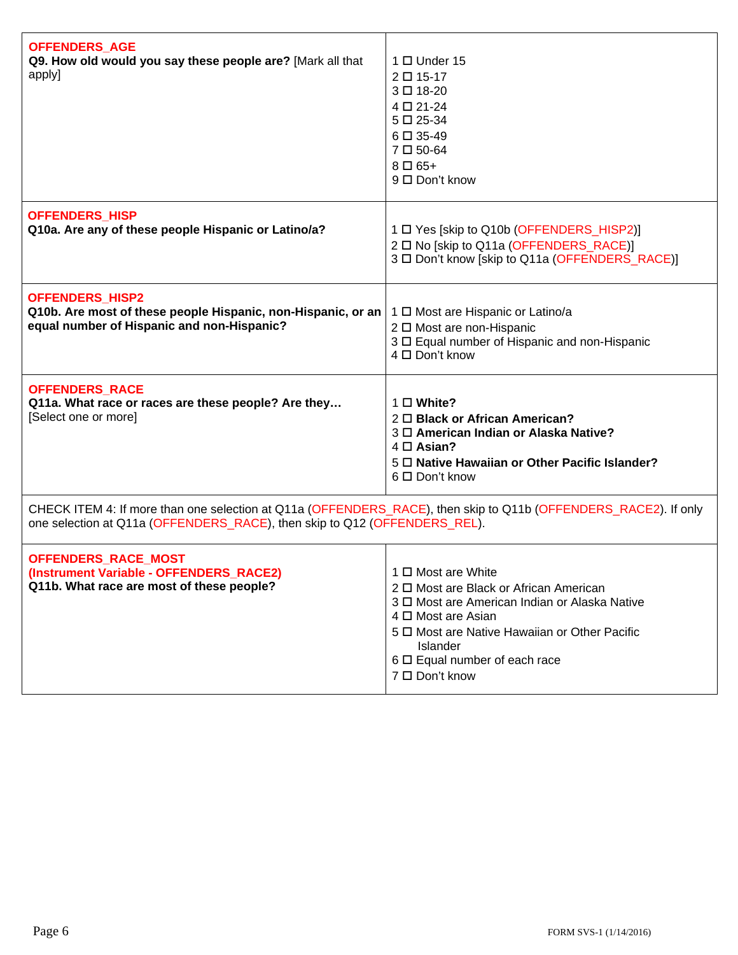| <b>OFFENDERS_AGE</b><br>Q9. How old would you say these people are? [Mark all that<br>apply]                                                                                                 | $1 \Box$ Under 15<br>2 □ 15-17<br>3□ 18-20<br>4 □ 21-24<br>$5 \Box 25 - 34$<br>$6 \Box 35 - 49$<br>$7 \Box 50 - 64$<br>$8 \Box 65+$<br>9 □ Don't know                                                                                                                            |  |
|----------------------------------------------------------------------------------------------------------------------------------------------------------------------------------------------|----------------------------------------------------------------------------------------------------------------------------------------------------------------------------------------------------------------------------------------------------------------------------------|--|
| <b>OFFENDERS HISP</b><br>Q10a. Are any of these people Hispanic or Latino/a?                                                                                                                 | 1 □ Yes [skip to Q10b (OFFENDERS_HISP2)]<br>2 □ No [skip to Q11a (OFFENDERS_RACE)]<br>3 □ Don't know [skip to Q11a (OFFENDERS_RACE)]                                                                                                                                             |  |
| <b>OFFENDERS HISP2</b><br>Q10b. Are most of these people Hispanic, non-Hispanic, or an<br>equal number of Hispanic and non-Hispanic?                                                         | 1 □ Most are Hispanic or Latino/a<br>2 □ Most are non-Hispanic<br>3 D Equal number of Hispanic and non-Hispanic<br>4 □ Don't know                                                                                                                                                |  |
| <b>OFFENDERS_RACE</b><br>Q11a. What race or races are these people? Are they<br>[Select one or more]                                                                                         | $1 \square$ White?<br>2 <sup>D</sup> Black or African American?<br>3 <sup>O</sup> American Indian or Alaska Native?<br>$4 \Box$ Asian?<br>5 D Native Hawaiian or Other Pacific Islander?<br>6 □ Don't know                                                                       |  |
| CHECK ITEM 4: If more than one selection at Q11a (OFFENDERS_RACE), then skip to Q11b (OFFENDERS_RACE2). If only<br>one selection at Q11a (OFFENDERS_RACE), then skip to Q12 (OFFENDERS_REL). |                                                                                                                                                                                                                                                                                  |  |
| OFFENDERS_RACE_MOST<br>(Instrument Variable - OFFENDERS_RACE2)<br>Q11b. What race are most of these people?                                                                                  | 1 □ Most are White<br>2 $\Box$ Most are Black or African American<br>3 <sup>O</sup> Most are American Indian or Alaska Native<br>4 □ Most are Asian<br>5 $\Box$ Most are Native Hawaiian or Other Pacific<br>Islander<br>$6 \square$ Equal number of each race<br>7 □ Don't know |  |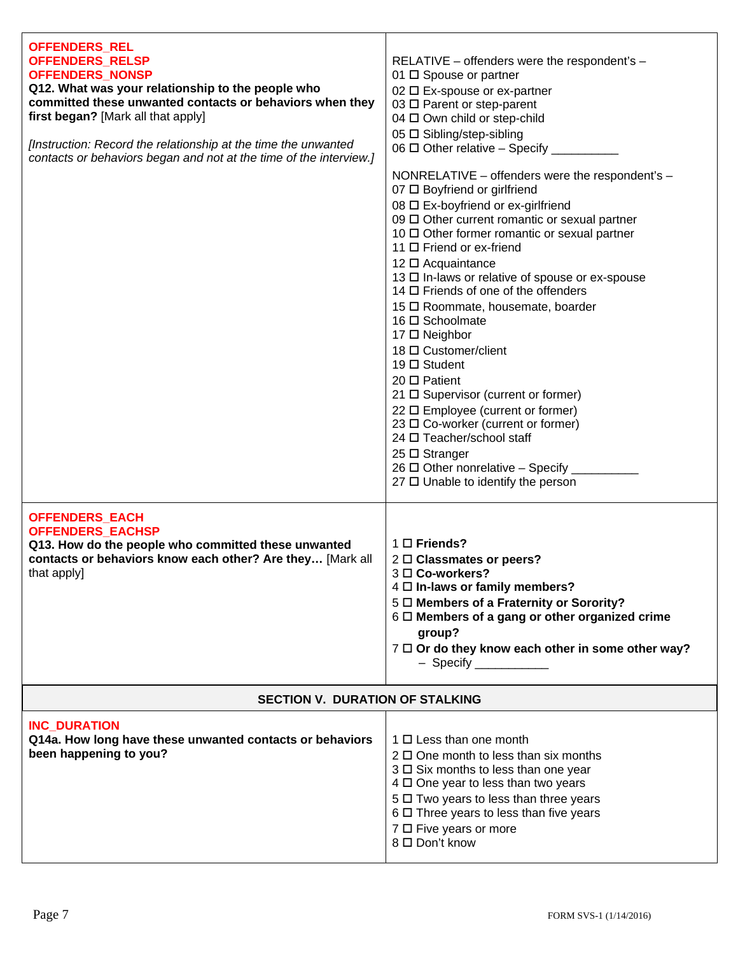| <b>OFFENDERS_REL</b><br>OFFENDERS_RELSP<br><b>OFFENDERS_NONSP</b><br>Q12. What was your relationship to the people who<br>committed these unwanted contacts or behaviors when they<br>first began? [Mark all that apply]<br>[Instruction: Record the relationship at the time the unwanted<br>contacts or behaviors began and not at the time of the interview.] | RELATIVE - offenders were the respondent's -<br>01 $\Box$ Spouse or partner<br>02 □ Ex-spouse or ex-partner<br>03 □ Parent or step-parent<br>04 □ Own child or step-child<br>05 □ Sibling/step-sibling<br>06 □ Other relative - Specify _________<br>NONRELATIVE - offenders were the respondent's -<br>07 □ Boyfriend or girlfriend<br>08 □ Ex-boyfriend or ex-girlfriend<br>09 Other current romantic or sexual partner<br>10 □ Other former romantic or sexual partner<br>11 □ Friend or ex-friend<br>12 □ Acquaintance<br>13 □ In-laws or relative of spouse or ex-spouse<br>14 $\Box$ Friends of one of the offenders<br>15 □ Roommate, housemate, boarder<br>16 $\Box$ Schoolmate<br>17 □ Neighbor<br>18 □ Customer/client<br>19 $\Box$ Student<br>20 □ Patient<br>21 □ Supervisor (current or former)<br>22 □ Employee (current or former)<br>23 □ Co-worker (current or former)<br>24 □ Teacher/school staff<br>25 □ Stranger<br>26 $\Box$ Other nonrelative - Specify _<br>27 □ Unable to identify the person |  |
|------------------------------------------------------------------------------------------------------------------------------------------------------------------------------------------------------------------------------------------------------------------------------------------------------------------------------------------------------------------|------------------------------------------------------------------------------------------------------------------------------------------------------------------------------------------------------------------------------------------------------------------------------------------------------------------------------------------------------------------------------------------------------------------------------------------------------------------------------------------------------------------------------------------------------------------------------------------------------------------------------------------------------------------------------------------------------------------------------------------------------------------------------------------------------------------------------------------------------------------------------------------------------------------------------------------------------------------------------------------------------------------------|--|
| <b>OFFENDERS_EACH</b><br><b>OFFENDERS_EACHSP</b><br>Q13. How do the people who committed these unwanted<br>contacts or behaviors know each other? Are they [Mark all<br>that apply]                                                                                                                                                                              | 1 □ Friends?<br>$2 \Box$ Classmates or peers?<br>3 □ Co-workers?<br>4 O In-laws or family members?<br>5 $\Box$ Members of a Fraternity or Sorority?<br>$6 \Box$ Members of a gang or other organized crime<br>group?<br>7 0 Or do they know each other in some other way?<br>$-$ Specify ____________                                                                                                                                                                                                                                                                                                                                                                                                                                                                                                                                                                                                                                                                                                                  |  |
| <b>SECTION V. DURATION OF STALKING</b>                                                                                                                                                                                                                                                                                                                           |                                                                                                                                                                                                                                                                                                                                                                                                                                                                                                                                                                                                                                                                                                                                                                                                                                                                                                                                                                                                                        |  |
| <b>INC DURATION</b><br>Q14a. How long have these unwanted contacts or behaviors<br>been happening to you?                                                                                                                                                                                                                                                        | $1 \Box$ Less than one month<br>$2 \Box$ One month to less than six months<br>$3 \Box$ Six months to less than one year<br>$4 \Box$ One year to less than two years<br>5 $\Box$ Two years to less than three years<br>$6 \square$ Three years to less than five years<br>7 □ Five years or more<br>8 □ Don't know                                                                                                                                                                                                                                                                                                                                                                                                                                                                                                                                                                                                                                                                                                      |  |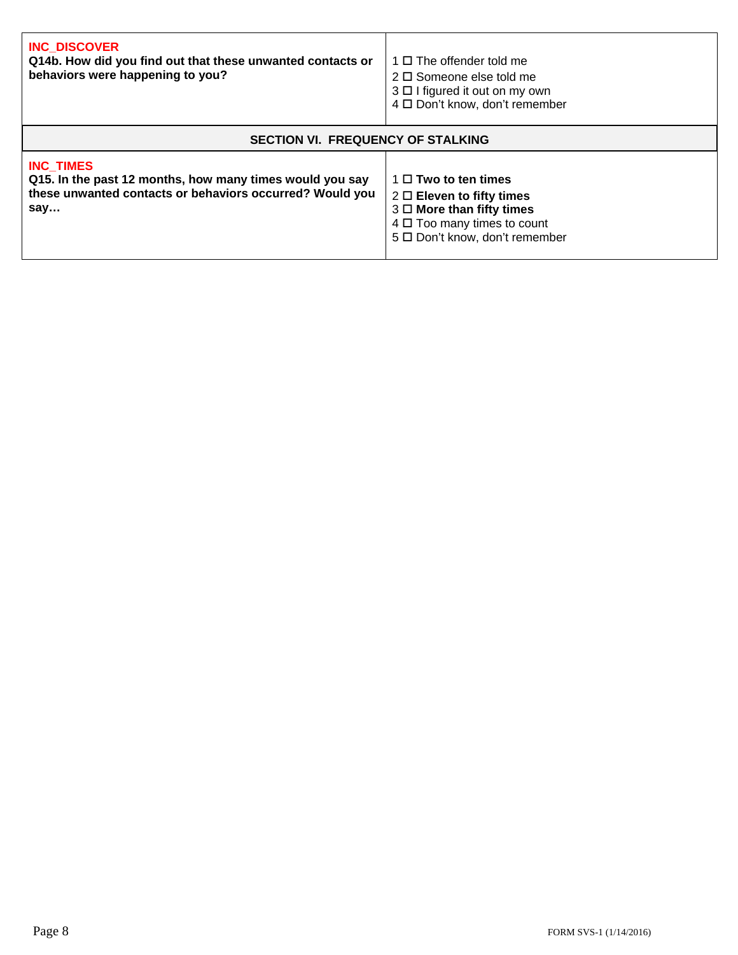| <b>INC DISCOVER</b><br>Q14b. How did you find out that these unwanted contacts or<br>behaviors were happening to you?                           | $1 \Box$ The offender told me<br>$2 \Box$ Someone else told me<br>$3 \Box$ I figured it out on my own<br>4 □ Don't know, don't remember                                  |  |
|-------------------------------------------------------------------------------------------------------------------------------------------------|--------------------------------------------------------------------------------------------------------------------------------------------------------------------------|--|
| <b>SECTION VI. FREQUENCY OF STALKING</b>                                                                                                        |                                                                                                                                                                          |  |
| <b>INC TIMES</b><br>Q15. In the past 12 months, how many times would you say<br>these unwanted contacts or behaviors occurred? Would you<br>say | $1 \Box$ Two to ten times<br>$2 \Box$ Eleven to fifty times<br>$3 \Box$ More than fifty times<br>$4 \Box$ Too many times to count<br>5 $\Box$ Don't know, don't remember |  |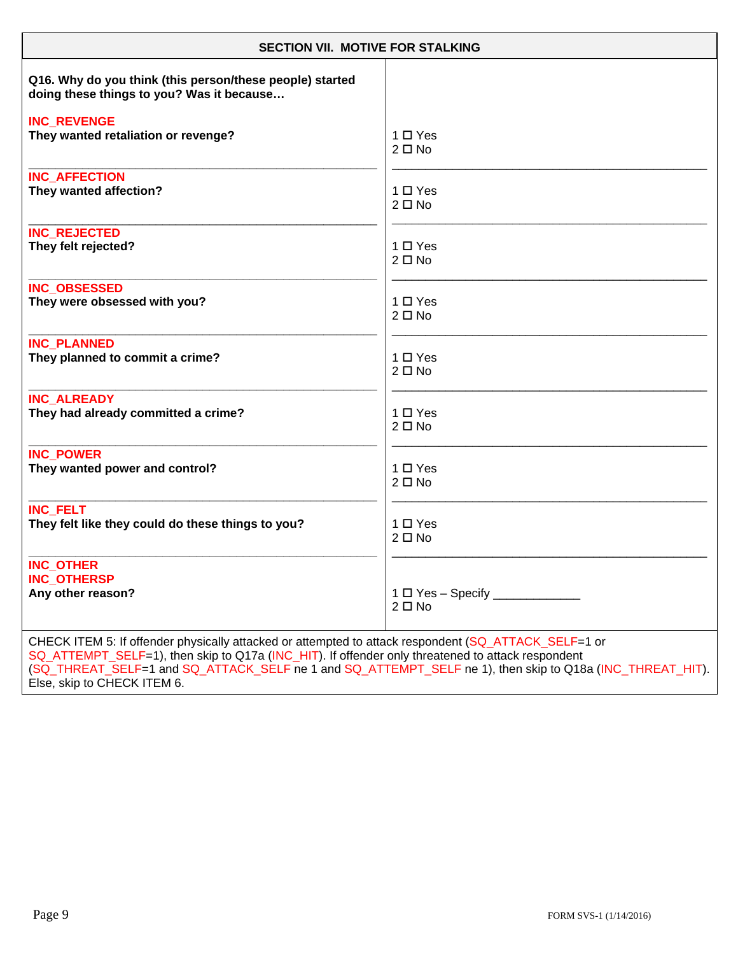| <b>SECTION VII. MOTIVE FOR STALKING</b>                                                                                                                                                                                                                                                                                                              |               |  |
|------------------------------------------------------------------------------------------------------------------------------------------------------------------------------------------------------------------------------------------------------------------------------------------------------------------------------------------------------|---------------|--|
| Q16. Why do you think (this person/these people) started<br>doing these things to you? Was it because                                                                                                                                                                                                                                                |               |  |
| <b>INC REVENGE</b>                                                                                                                                                                                                                                                                                                                                   | $1 \Box Y$ es |  |
| They wanted retaliation or revenge?                                                                                                                                                                                                                                                                                                                  | $2 \Box$ No   |  |
| <b>INC AFFECTION</b>                                                                                                                                                                                                                                                                                                                                 | $1 \Box Y$ es |  |
| They wanted affection?                                                                                                                                                                                                                                                                                                                               | $2 \Box$ No   |  |
| <b>INC_REJECTED</b>                                                                                                                                                                                                                                                                                                                                  | $1 \Box Y$ es |  |
| They felt rejected?                                                                                                                                                                                                                                                                                                                                  | $2 \Box$ No   |  |
| <b>INC OBSESSED</b>                                                                                                                                                                                                                                                                                                                                  | $1 \Box Y$ es |  |
| They were obsessed with you?                                                                                                                                                                                                                                                                                                                         | $2 \Box$ No   |  |
| <b>INC PLANNED</b>                                                                                                                                                                                                                                                                                                                                   | $1 \Box Y$ es |  |
| They planned to commit a crime?                                                                                                                                                                                                                                                                                                                      | $2 \Box$ No   |  |
| <b>INC ALREADY</b>                                                                                                                                                                                                                                                                                                                                   | $1 \Box Y$ es |  |
| They had already committed a crime?                                                                                                                                                                                                                                                                                                                  | $2 \Box$ No   |  |
| <b>INC POWER</b>                                                                                                                                                                                                                                                                                                                                     | $1 \Box Y$ es |  |
| They wanted power and control?                                                                                                                                                                                                                                                                                                                       | $2 \Box$ No   |  |
| <b>INC FELT</b>                                                                                                                                                                                                                                                                                                                                      | $1 \Box Y$ es |  |
| They felt like they could do these things to you?                                                                                                                                                                                                                                                                                                    | $2 \Box$ No   |  |
| <b>INC OTHER</b><br><b>INC_OTHERSP</b><br>Any other reason?                                                                                                                                                                                                                                                                                          | $2 \Box$ No   |  |
| CHECK ITEM 5: If offender physically attacked or attempted to attack respondent (SQ_ATTACK_SELF=1 or<br>SQ_ATTEMPT_SELF=1), then skip to Q17a (INC_HIT). If offender only threatened to attack respondent<br>(SQ_THREAT_SELF=1 and SQ_ATTACK_SELF ne 1 and SQ_ATTEMPT_SELF ne 1), then skip to Q18a (INC_THREAT_HIT).<br>Else, skip to CHECK ITEM 6. |               |  |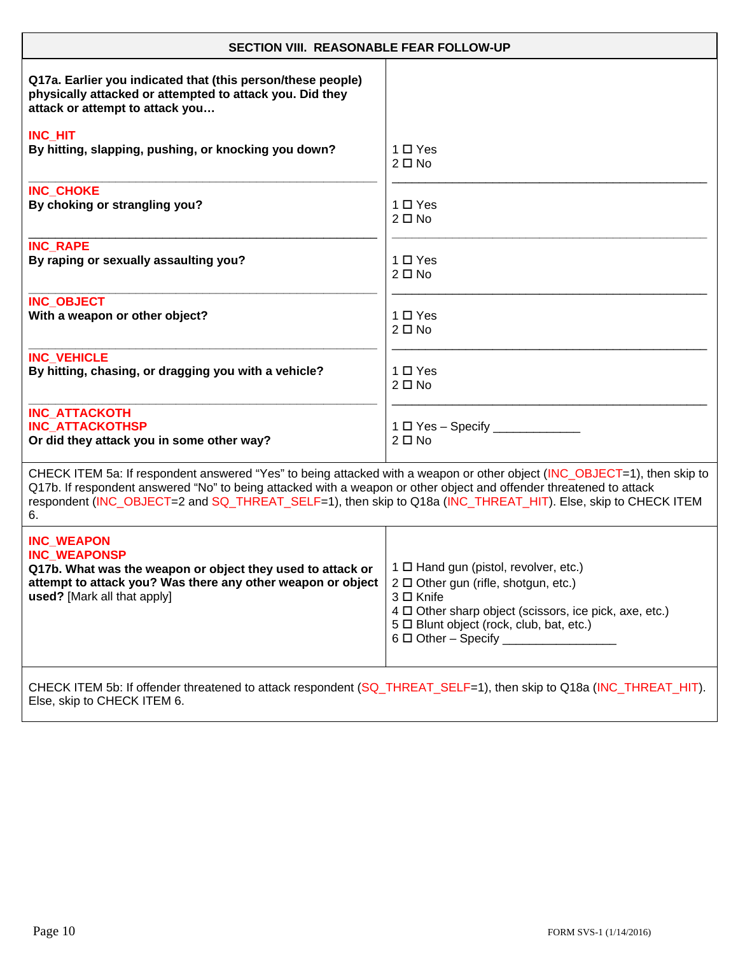| <b>SECTION VIII. REASONABLE FEAR FOLLOW-UP</b>                                                                                                                                                                                                                                                                                                                        |                                                             |  |
|-----------------------------------------------------------------------------------------------------------------------------------------------------------------------------------------------------------------------------------------------------------------------------------------------------------------------------------------------------------------------|-------------------------------------------------------------|--|
| Q17a. Earlier you indicated that (this person/these people)<br>physically attacked or attempted to attack you. Did they<br>attack or attempt to attack you                                                                                                                                                                                                            |                                                             |  |
| <b>INC HIT</b>                                                                                                                                                                                                                                                                                                                                                        | 1 □ Yes                                                     |  |
| By hitting, slapping, pushing, or knocking you down?                                                                                                                                                                                                                                                                                                                  | $2 \Box$ No                                                 |  |
| <b>INC CHOKE</b>                                                                                                                                                                                                                                                                                                                                                      | $1 \Box Y$ es                                               |  |
| By choking or strangling you?                                                                                                                                                                                                                                                                                                                                         | $2 \Box$ No                                                 |  |
| <b>INC RAPE</b>                                                                                                                                                                                                                                                                                                                                                       | $1 \Box Y$ es                                               |  |
| By raping or sexually assaulting you?                                                                                                                                                                                                                                                                                                                                 | $2 \Box$ No                                                 |  |
| <b>INC OBJECT</b>                                                                                                                                                                                                                                                                                                                                                     | 1 □ Yes                                                     |  |
| With a weapon or other object?                                                                                                                                                                                                                                                                                                                                        | $2 \Box$ No                                                 |  |
| <b>INC VEHICLE</b>                                                                                                                                                                                                                                                                                                                                                    | $1 \Box Y$ es                                               |  |
| By hitting, chasing, or dragging you with a vehicle?                                                                                                                                                                                                                                                                                                                  | $2 \Box$ No                                                 |  |
| <b>INC_ATTACKOTH</b><br><b>INC ATTACKOTHSP</b><br>Or did they attack you in some other way?                                                                                                                                                                                                                                                                           | $2 \Box$ No                                                 |  |
| CHECK ITEM 5a: If respondent answered "Yes" to being attacked with a weapon or other object (INC_OBJECT=1), then skip to<br>Q17b. If respondent answered "No" to being attacked with a weapon or other object and offender threatened to attack<br>respondent (INC_OBJECT=2 and SQ_THREAT_SELF=1), then skip to Q18a (INC_THREAT_HIT). Else, skip to CHECK ITEM<br>6. |                                                             |  |
| <b>INC WEAPON</b>                                                                                                                                                                                                                                                                                                                                                     | 2 □ Other gun (rifle, shotgun, etc.)                        |  |
| <b>INC WEAPONSP</b>                                                                                                                                                                                                                                                                                                                                                   | $3 \Box$ Knife                                              |  |
| Q17b. What was the weapon or object they used to attack or $\mid$ 1 $\Box$ Hand gun (pistol, revolver, etc.)                                                                                                                                                                                                                                                          | $4 \Box$ Other sharp object (scissors, ice pick, axe, etc.) |  |
| attempt to attack you? Was there any other weapon or object                                                                                                                                                                                                                                                                                                           | 5 $\Box$ Blunt object (rock, club, bat, etc.)               |  |
| used? [Mark all that apply]                                                                                                                                                                                                                                                                                                                                           | $6 \Box$ Other - Specify ____________________               |  |
| CHECK ITEM 5b: If offender threatened to attack respondent (SQ_THREAT_SELF=1), then skip to Q18a (INC_THREAT_HIT).<br>Else, skip to CHECK ITEM 6.                                                                                                                                                                                                                     |                                                             |  |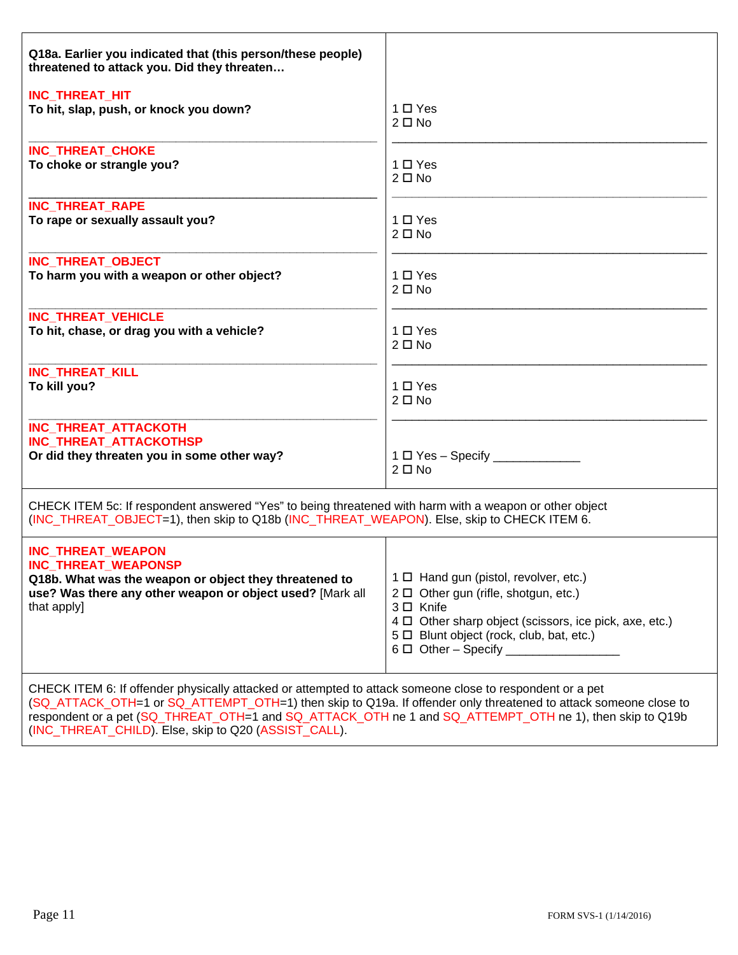| Q18a. Earlier you indicated that (this person/these people)<br>threatened to attack you. Did they threaten                                                                                           |                                                                                                                                                                                                                                                                  |  |
|------------------------------------------------------------------------------------------------------------------------------------------------------------------------------------------------------|------------------------------------------------------------------------------------------------------------------------------------------------------------------------------------------------------------------------------------------------------------------|--|
| INC_THREAT_HIT                                                                                                                                                                                       | $1 \Box Y$ es                                                                                                                                                                                                                                                    |  |
| To hit, slap, push, or knock you down?                                                                                                                                                               | $2 \Box$ No                                                                                                                                                                                                                                                      |  |
| INC_THREAT_CHOKE                                                                                                                                                                                     | $1 \Box Y$ es                                                                                                                                                                                                                                                    |  |
| To choke or strangle you?                                                                                                                                                                            | $2 \Box$ No                                                                                                                                                                                                                                                      |  |
| <b>INC_THREAT_RAPE</b>                                                                                                                                                                               | 1 □ Yes                                                                                                                                                                                                                                                          |  |
| To rape or sexually assault you?                                                                                                                                                                     | $2 \Box$ No                                                                                                                                                                                                                                                      |  |
| INC_THREAT_OBJECT                                                                                                                                                                                    | $1 \Box Y$ es                                                                                                                                                                                                                                                    |  |
| To harm you with a weapon or other object?                                                                                                                                                           | $2 \Box$ No                                                                                                                                                                                                                                                      |  |
| INC_THREAT_VEHICLE                                                                                                                                                                                   | $1 \Box Y$ es                                                                                                                                                                                                                                                    |  |
| To hit, chase, or drag you with a vehicle?                                                                                                                                                           | $2 \Box$ No                                                                                                                                                                                                                                                      |  |
| <b>INC THREAT KILL</b>                                                                                                                                                                               | 1 □ Yes                                                                                                                                                                                                                                                          |  |
| To kill you?                                                                                                                                                                                         | $2 \Box$ No                                                                                                                                                                                                                                                      |  |
| <b>INC THREAT ATTACKOTH</b><br><b>INC THREAT ATTACKOTHSP</b><br>Or did they threaten you in some other way?                                                                                          | $1 \Box Y$ es - Specify ___________<br>$2 \Box$ No                                                                                                                                                                                                               |  |
| CHECK ITEM 5c: If respondent answered "Yes" to being threatened with harm with a weapon or other object<br>(INC_THREAT_OBJECT=1), then skip to Q18b (INC_THREAT_WEAPON). Else, skip to CHECK ITEM 6. |                                                                                                                                                                                                                                                                  |  |
| <b>INC_THREAT_WEAPON</b><br><b>INC THREAT WEAPONSP</b><br>Q18b. What was the weapon or object they threatened to<br>use? Was there any other weapon or object used? [Mark all<br>that apply]         | 1 0 Hand gun (pistol, revolver, etc.)<br>$2 \Box$ Other gun (rifle, shotgun, etc.)<br>3 □ Knife<br>4 $\Box$ Other sharp object (scissors, ice pick, axe, etc.)<br>5 $\Box$ Blunt object (rock, club, bat, etc.)<br>$6\Box$ Other - Specify _____________________ |  |
| CHECK ITEM 6: If offender physically attacked or attempted to attack someone close to respondent or a pet                                                                                            |                                                                                                                                                                                                                                                                  |  |

ked or attempted to attack someone close to respondent or a pet (SQ\_ATTACK\_OTH=1 or SQ\_ATTEMPT\_OTH=1) then skip to Q19a. If offender only threatened to attack someone close to respondent or a pet (SQ\_THREAT\_OTH=1 and SQ\_ATTACK\_OTH ne 1 and SQ\_ATTEMPT\_OTH ne 1), then skip to Q19b (INC\_THREAT\_CHILD). Else, skip to Q20 (ASSIST\_CALL).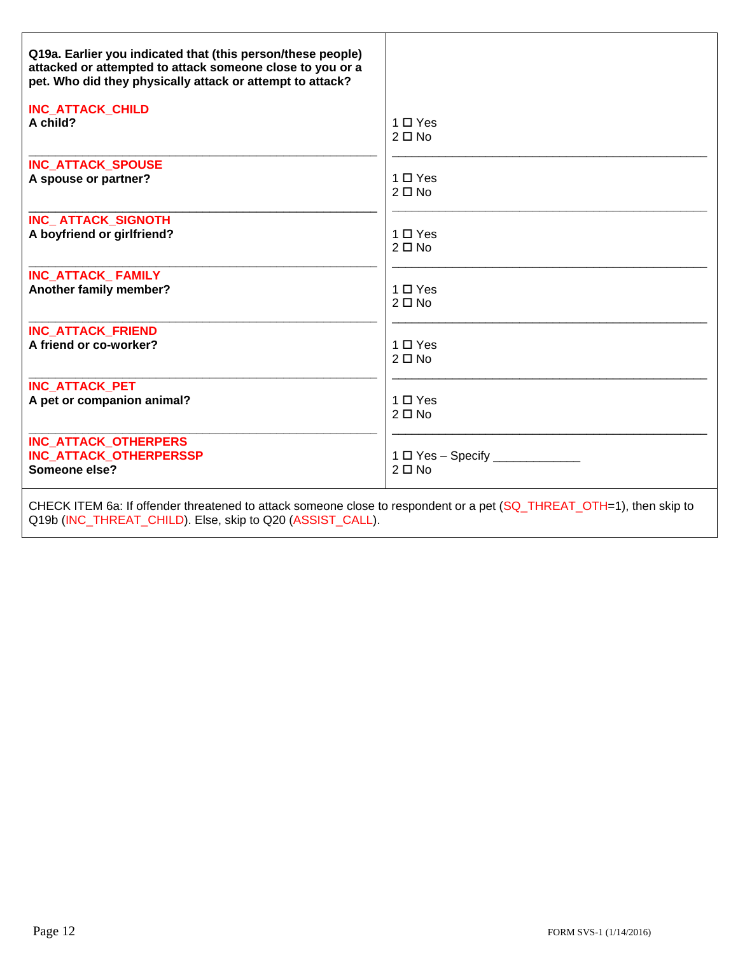| Q19a. Earlier you indicated that (this person/these people)                                                            |                                                     |  |
|------------------------------------------------------------------------------------------------------------------------|-----------------------------------------------------|--|
| attacked or attempted to attack someone close to you or a<br>pet. Who did they physically attack or attempt to attack? |                                                     |  |
| <b>INC_ATTACK_CHILD</b>                                                                                                |                                                     |  |
| A child?                                                                                                               | $1 \Box Y$ es<br>$2 \Box$ No                        |  |
| <b>INC_ATTACK_SPOUSE</b>                                                                                               |                                                     |  |
| A spouse or partner?                                                                                                   | $1 \Box Y$ es<br>$2 \Box$ No                        |  |
| INC_ATTACK_SIGNOTH                                                                                                     |                                                     |  |
| A boyfriend or girlfriend?                                                                                             | $1 \Box Y$ es<br>$2 \Box$ No                        |  |
| INC ATTACK FAMILY                                                                                                      |                                                     |  |
| Another family member?                                                                                                 | $1 \Box Y$ es<br>$2 \Box$ No                        |  |
| <b>INC ATTACK FRIEND</b>                                                                                               |                                                     |  |
| A friend or co-worker?                                                                                                 | $1 \Box Y$ es<br>$2 \Box$ No                        |  |
| <b>INC ATTACK PET</b>                                                                                                  |                                                     |  |
| A pet or companion animal?                                                                                             | $1 \Box Y$ es<br>$2 \Box$ No                        |  |
| <b>INC ATTACK OTHERPERS</b>                                                                                            |                                                     |  |
| <b>INC ATTACK OTHERPERSSP</b><br>Someone else?                                                                         | $1 \Box$ Yes - Specify _____________<br>$2 \Box$ No |  |
| CHECK ITEM 6a: If offender threatened to attack someone close to respondent or a pet (SQ_THREAT_OTH=1), then skip to   |                                                     |  |

Q19b (INC\_THREAT\_CHILD). Else, skip to Q20 (ASSIST\_CALL).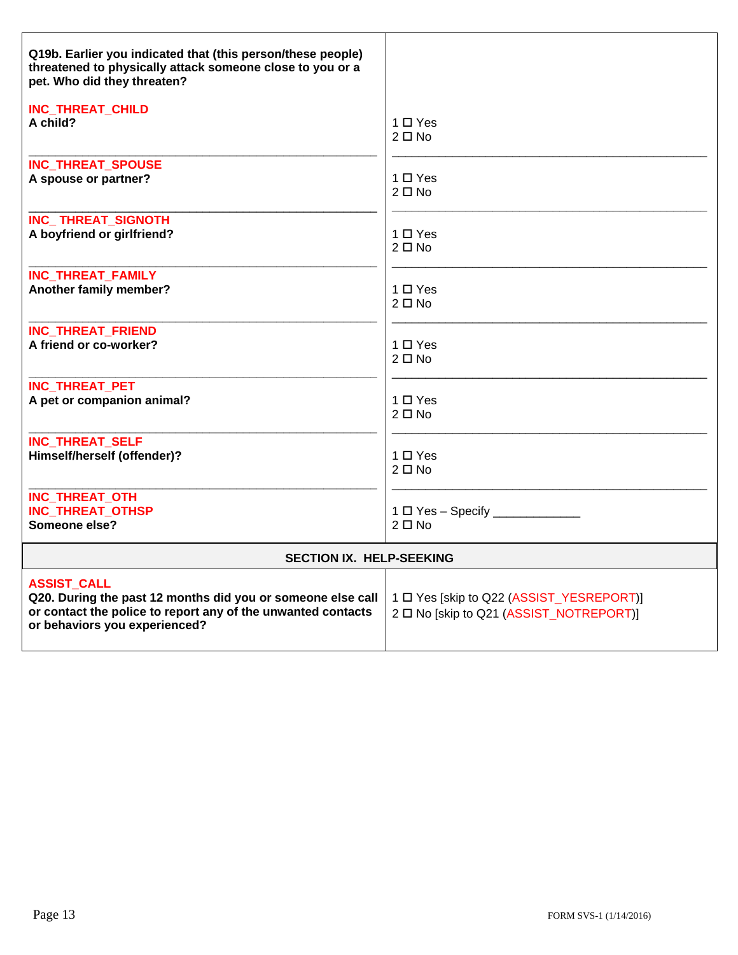| Q19b. Earlier you indicated that (this person/these people)<br>threatened to physically attack someone close to you or a<br>pet. Who did they threaten?                            |                                                                                     |
|------------------------------------------------------------------------------------------------------------------------------------------------------------------------------------|-------------------------------------------------------------------------------------|
| INC_THREAT_CHILD                                                                                                                                                                   | $1 \Box Y$ es                                                                       |
| A child?                                                                                                                                                                           | $2 \Box$ No                                                                         |
| <b>INC_THREAT_SPOUSE</b>                                                                                                                                                           | $1 \Box Y$ es                                                                       |
| A spouse or partner?                                                                                                                                                               | $2 \Box$ No                                                                         |
| <b>INC_THREAT_SIGNOTH</b>                                                                                                                                                          | $1 \Box Y$ es                                                                       |
| A boyfriend or girlfriend?                                                                                                                                                         | $2 \Box$ No                                                                         |
| <b>INC THREAT FAMILY</b>                                                                                                                                                           | $1 \Box Y$ es                                                                       |
| Another family member?                                                                                                                                                             | $2 \Box$ No                                                                         |
| <b>INC_THREAT_FRIEND</b>                                                                                                                                                           | $1 \Box Y$ es                                                                       |
| A friend or co-worker?                                                                                                                                                             | $2 \Box$ No                                                                         |
| <b>INC THREAT PET</b>                                                                                                                                                              | $1 \Box Y$ es                                                                       |
| A pet or companion animal?                                                                                                                                                         | $2 \Box$ No                                                                         |
| <b>INC_THREAT_SELF</b>                                                                                                                                                             | $1 \Box Y$ es                                                                       |
| Himself/herself (offender)?                                                                                                                                                        | $2 \Box$ No                                                                         |
| INC_THREAT_OTH<br>INC_THREAT_OTHSP<br>Someone else?                                                                                                                                | $2 \Box$ No                                                                         |
| SECTION IX. HELP-SEEKING                                                                                                                                                           |                                                                                     |
| <b>ASSIST CALL</b><br>Q20. During the past 12 months did you or someone else call<br>or contact the police to report any of the unwanted contacts<br>or behaviors you experienced? | 1 D Yes [skip to Q22 (ASSIST_YESREPORT)]<br>2 □ No [skip to Q21 (ASSIST_NOTREPORT)] |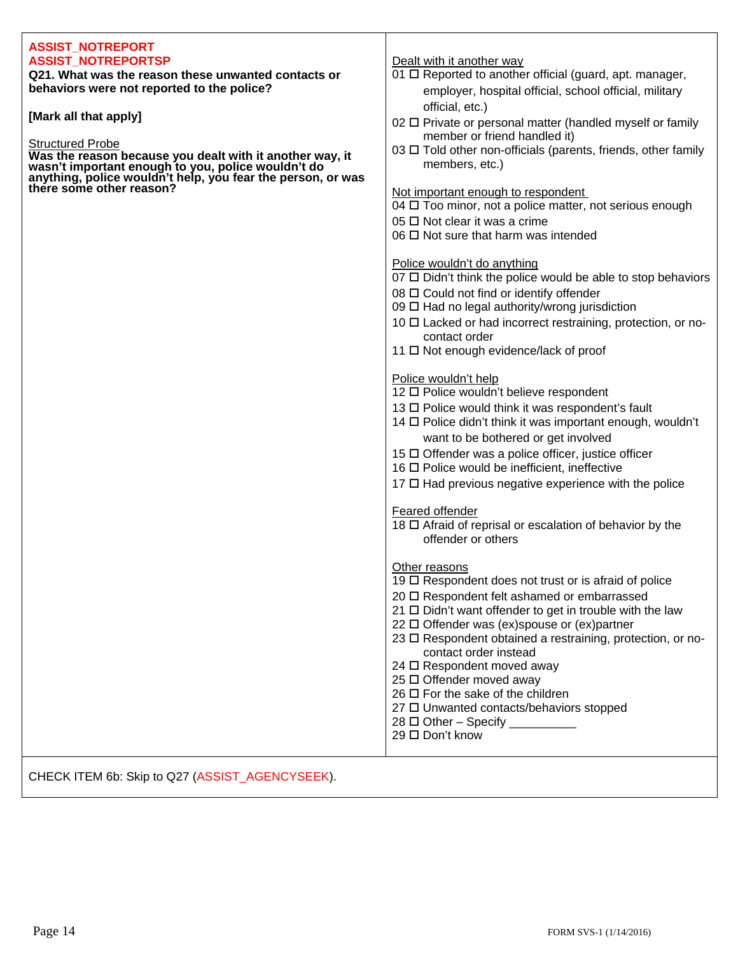# **ASSIST\_NOTREPORT ASSIST\_NOTREPORTSP Dealt with it another way**

**Q21. What was the reason these unwanted contacts or**  $\vert$  01  $\Box$  Reported to another official (guard, apt. manager, **behaviors were not reported to the police? employer, hospital official, school official, military** 

**wasn't important enough to you, police wouldn't do** members, etc.) **anything, police wouldn't help, you fear the person, or was there some other reason?** <br>Not important enough to respondent

- 
- **Mark all that apply] [Mark all that apply]** *perfective official, etc.***)** *perfective or personal matter (handled myself or family official, etc.***) Structured Probe**<br>
Structured Probe **Structured Probe**<br>
Structured Probe **Structured Probe**
- **Was the reason because you dealt with it another way, it** 03 Told other non-officials (parents, friends, other family

 $04 \Box$  Too minor, not a police matter, not serious enough

- $05 \Box$  Not clear it was a crime
- $06 \square$  Not sure that harm was intended

### Police wouldn't do anything

- $07 \Box$  Didn't think the police would be able to stop behaviors
- $08 \Box$  Could not find or identify offender
- $09 \Box$  Had no legal authority/wrong jurisdiction
- 10  $\Box$  Lacked or had incorrect restraining, protection, or nocontact order
- 11 □ Not enough evidence/lack of proof

## Police wouldn't help

- 12 □ Police wouldn't believe respondent
- $13 \Box$  Police would think it was respondent's fault
- $14 \Box$  Police didn't think it was important enough, wouldn't want to be bothered or get involved
- $15 \square$  Offender was a police officer, justice officer
- $16 \Box$  Police would be inefficient, ineffective
- $17 \Box$  Had previous negative experience with the police

### Feared offender

18  $\Box$  Afraid of reprisal or escalation of behavior by the offender or others

## Other reasons

- 19  $\Box$  Respondent does not trust or is afraid of police
- 20 □ Respondent felt ashamed or embarrassed
- $21 \Box$  Didn't want offender to get in trouble with the law
- $22 \Box$  Offender was (ex)spouse or (ex)partner
- 23 □ Respondent obtained a restraining, protection, or nocontact order instead
- $24 \Box$  Respondent moved away
- $25 \Box$  Offender moved away
- $26 \Box$  For the sake of the children
- 27 □ Unwanted contacts/behaviors stopped
- 28  $\Box$  Other Specify
- $29 \Box$  Don't know

CHECK ITEM 6b: Skip to Q27 (ASSIST\_AGENCYSEEK).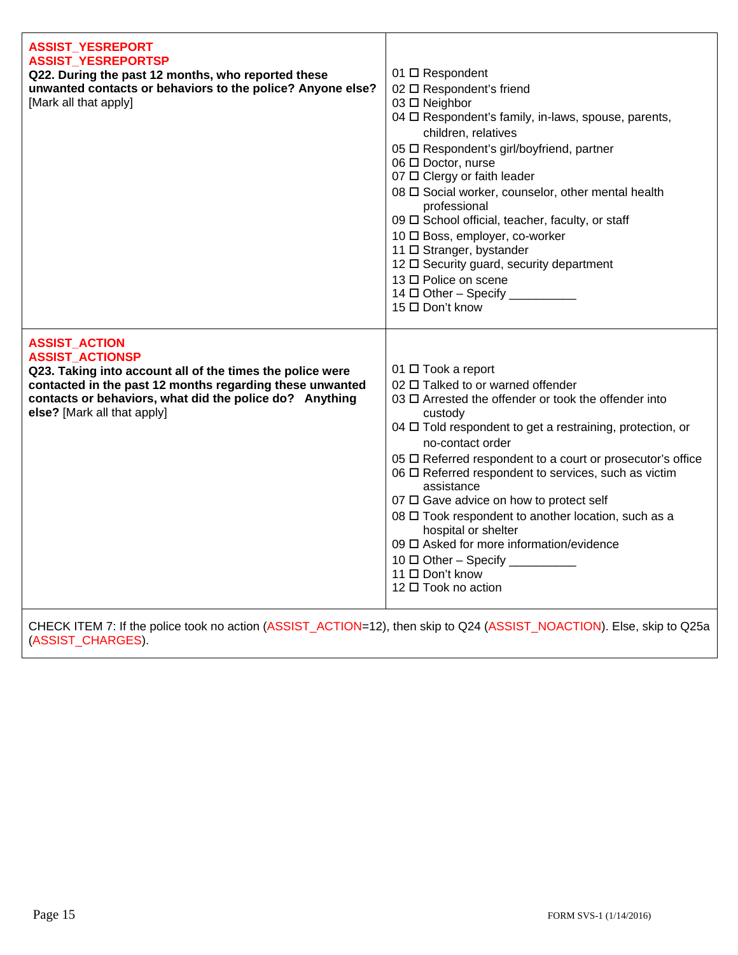| 04 O Respondent's family, in-laws, spouse, parents,<br>children, relatives<br>05 □ Respondent's girl/boyfriend, partner<br>06 □ Doctor, nurse<br>07 □ Clergy or faith leader<br>08 $\Box$ Social worker, counselor, other mental health<br>professional<br>09 □ School official, teacher, faculty, or staff<br>10 □ Boss, employer, co-worker<br>11 □ Stranger, bystander<br>12 □ Security guard, security department<br>13 □ Police on scene<br>14 □ Other - Specify __________<br>15 □ Don't know                                                                                                                                                                                                                                                                                                                                                                                                                                                                                                           |  |
|---------------------------------------------------------------------------------------------------------------------------------------------------------------------------------------------------------------------------------------------------------------------------------------------------------------------------------------------------------------------------------------------------------------------------------------------------------------------------------------------------------------------------------------------------------------------------------------------------------------------------------------------------------------------------------------------------------------------------------------------------------------------------------------------------------------------------------------------------------------------------------------------------------------------------------------------------------------------------------------------------------------|--|
| <b>ASSIST_ACTION</b><br><b>ASSIST ACTIONSP</b><br>01 □ Took a report<br>Q23. Taking into account all of the times the police were<br>contacted in the past 12 months regarding these unwanted<br>02 O Talked to or warned offender<br>contacts or behaviors, what did the police do? Anything<br>03 □ Arrested the offender or took the offender into<br>else? [Mark all that apply]<br>custody<br>04 $\Box$ Told respondent to get a restraining, protection, or<br>no-contact order<br>05 □ Referred respondent to a court or prosecutor's office<br>06 O Referred respondent to services, such as victim<br>assistance<br>07 $\Box$ Gave advice on how to protect self<br>08 □ Took respondent to another location, such as a<br>hospital or shelter<br>09 □ Asked for more information/evidence<br>$10 \Box$ Other - Specify _________<br>11 □ Don't know<br>12 □ Took no action<br>CHECK ITEM 7: If the police took no action (ASSIST_ACTION=12), then skip to Q24 (ASSIST_NOACTION). Else, skip to Q25a |  |

(ASSIST\_CHARGES).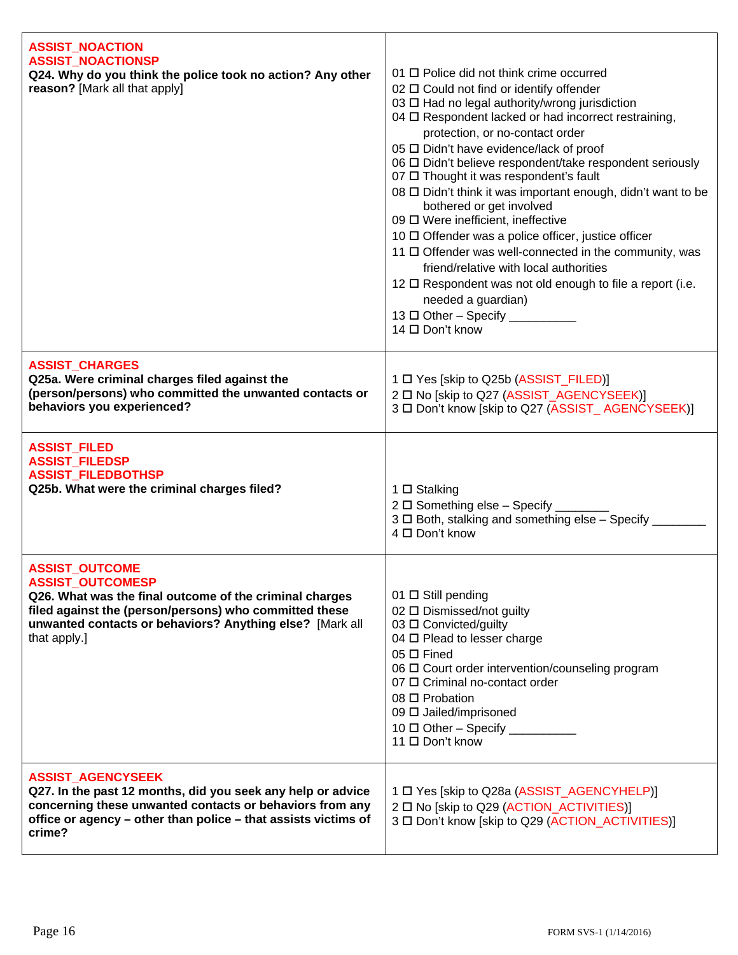| <b>ASSIST NOACTION</b><br><b>ASSIST_NOACTIONSP</b><br>Q24. Why do you think the police took no action? Any other<br>reason? [Mark all that apply]                                                                                                 | 01 <sub>D</sub> Police did not think crime occurred<br>02 □ Could not find or identify offender<br>03 □ Had no legal authority/wrong jurisdiction<br>04 O Respondent lacked or had incorrect restraining,<br>protection, or no-contact order<br>05 □ Didn't have evidence/lack of proof<br>06 □ Didn't believe respondent/take respondent seriously<br>07 □ Thought it was respondent's fault<br>08 □ Didn't think it was important enough, didn't want to be<br>bothered or get involved<br>09 □ Were inefficient, ineffective<br>10 □ Offender was a police officer, justice officer<br>11 □ Offender was well-connected in the community, was<br>friend/relative with local authorities<br>12 $\Box$ Respondent was not old enough to file a report (i.e.<br>needed a guardian)<br>$13 \Box$ Other - Specify ___________<br>14 □ Don't know |
|---------------------------------------------------------------------------------------------------------------------------------------------------------------------------------------------------------------------------------------------------|------------------------------------------------------------------------------------------------------------------------------------------------------------------------------------------------------------------------------------------------------------------------------------------------------------------------------------------------------------------------------------------------------------------------------------------------------------------------------------------------------------------------------------------------------------------------------------------------------------------------------------------------------------------------------------------------------------------------------------------------------------------------------------------------------------------------------------------------|
| <b>ASSIST_CHARGES</b><br>Q25a. Were criminal charges filed against the<br>(person/persons) who committed the unwanted contacts or<br>behaviors you experienced?                                                                                   | 1 D Yes [skip to Q25b (ASSIST_FILED)]<br>2 □ No [skip to Q27 (ASSIST_AGENCYSEEK)]<br>3 □ Don't know [skip to Q27 (ASSIST_AGENCYSEEK)]                                                                                                                                                                                                                                                                                                                                                                                                                                                                                                                                                                                                                                                                                                          |
| <b>ASSIST_FILED</b><br><b>ASSIST_FILEDSP</b><br><b>ASSIST_FILEDBOTHSP</b><br>Q25b. What were the criminal charges filed?                                                                                                                          | 1 □ Stalking<br>2 $\Box$ Something else - Specify _<br>3 $\Box$ Both, stalking and something else - Specify<br>4 □ Don't know                                                                                                                                                                                                                                                                                                                                                                                                                                                                                                                                                                                                                                                                                                                  |
| <b>ASSIST_OUTCOME</b><br><b>ASSIST_OUTCOMESP</b><br>Q26. What was the final outcome of the criminal charges<br>filed against the (person/persons) who committed these<br>unwanted contacts or behaviors? Anything else? [Mark all<br>that apply.] | 01 $\Box$ Still pending<br>02 □ Dismissed/not guilty<br>03 □ Convicted/guilty<br>04 □ Plead to lesser charge<br>$05 \Box$ Fined<br>06 $\Box$ Court order intervention/counseling program<br>07 O Criminal no-contact order<br>08 □ Probation<br>09 □ Jailed/imprisoned<br>11 □ Don't know                                                                                                                                                                                                                                                                                                                                                                                                                                                                                                                                                      |
| <b>ASSIST_AGENCYSEEK</b><br>Q27. In the past 12 months, did you seek any help or advice<br>concerning these unwanted contacts or behaviors from any<br>office or agency - other than police - that assists victims of<br>crime?                   | 1 D Yes [skip to Q28a (ASSIST_AGENCYHELP)]<br>2 □ No [skip to Q29 (ACTION_ACTIVITIES)]<br>3 □ Don't know [skip to Q29 (ACTION_ACTIVITIES)]                                                                                                                                                                                                                                                                                                                                                                                                                                                                                                                                                                                                                                                                                                     |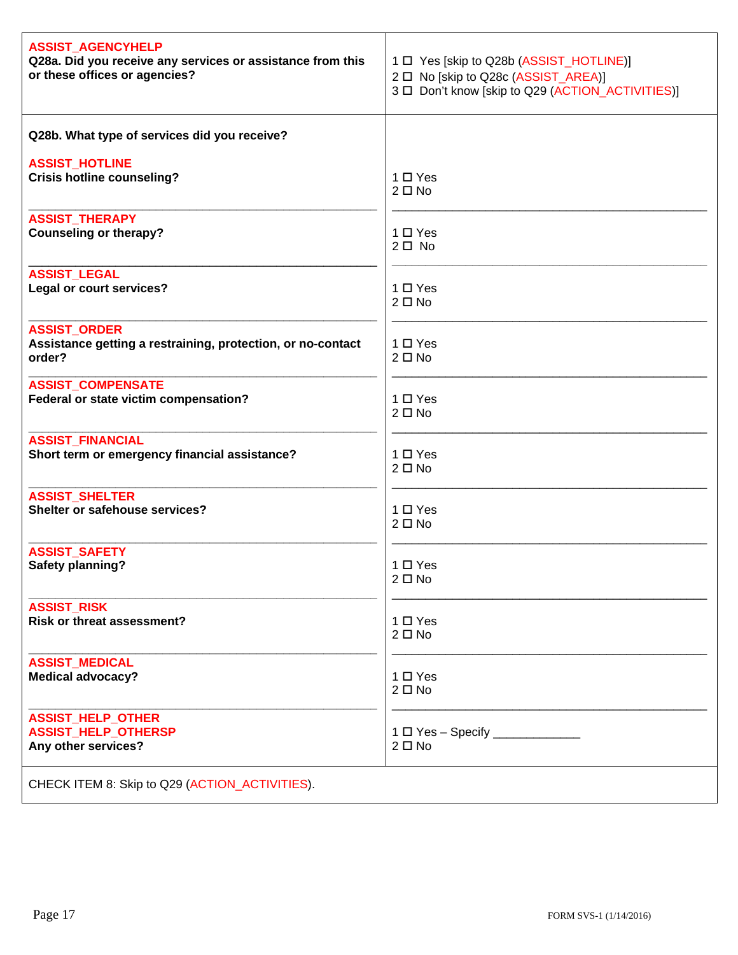| <b>ASSIST_AGENCYHELP</b>                                                                     | 1 D Yes [skip to Q28b (ASSIST_HOTLINE)]           |
|----------------------------------------------------------------------------------------------|---------------------------------------------------|
| Q28a. Did you receive any services or assistance from this                                   | 2 □ No [skip to Q28c (ASSIST_AREA)]               |
| or these offices or agencies?                                                                | 3 D Don't know [skip to Q29 (ACTION_ACTIVITIES)]  |
| Q28b. What type of services did you receive?                                                 |                                                   |
| <b>ASSIST_HOTLINE</b>                                                                        | $1 \Box Y$ es                                     |
| <b>Crisis hotline counseling?</b>                                                            | $2 \Box$ No                                       |
| <b>ASSIST_THERAPY</b>                                                                        | $1 \Box Y$ es                                     |
| <b>Counseling or therapy?</b>                                                                | $2 \Box$ No                                       |
| <b>ASSIST_LEGAL</b>                                                                          | $1 \Box Y$ es                                     |
| Legal or court services?                                                                     | $2 \Box$ No                                       |
| <b>ASSIST_ORDER</b><br>Assistance getting a restraining, protection, or no-contact<br>order? | $1 \Box Y$ es<br>$2 \Box$ No                      |
| <b>ASSIST_COMPENSATE</b>                                                                     | 1 □ Yes                                           |
| Federal or state victim compensation?                                                        | $2 \Box$ No                                       |
| <b>ASSIST_FINANCIAL</b>                                                                      | $1 \Box Y$ es                                     |
| Short term or emergency financial assistance?                                                | $2 \Box$ No                                       |
| <b>ASSIST_SHELTER</b>                                                                        | $1 \Box Y$ es                                     |
| Shelter or safehouse services?                                                               | $2 \Box$ No                                       |
| <b>ASSIST SAFETY</b>                                                                         | $1 \Box Y$ es                                     |
| <b>Safety planning?</b>                                                                      | $2 \Box$ No                                       |
| <b>ASSIST_RISK</b>                                                                           | $1 \Box Y$ es                                     |
| <b>Risk or threat assessment?</b>                                                            | $2 \Box$ No                                       |
| <b>ASSIST MEDICAL</b>                                                                        | 1 □ Yes                                           |
| <b>Medical advocacy?</b>                                                                     | $2 \Box$ No                                       |
| <b>ASSIST_HELP_OTHER</b><br><b>ASSIST_HELP_OTHERSP</b><br>Any other services?                | 1 □ Yes - Specify ________________<br>$2 \Box$ No |
| CHECK ITEM 8: Skip to Q29 (ACTION_ACTIVITIES).                                               |                                                   |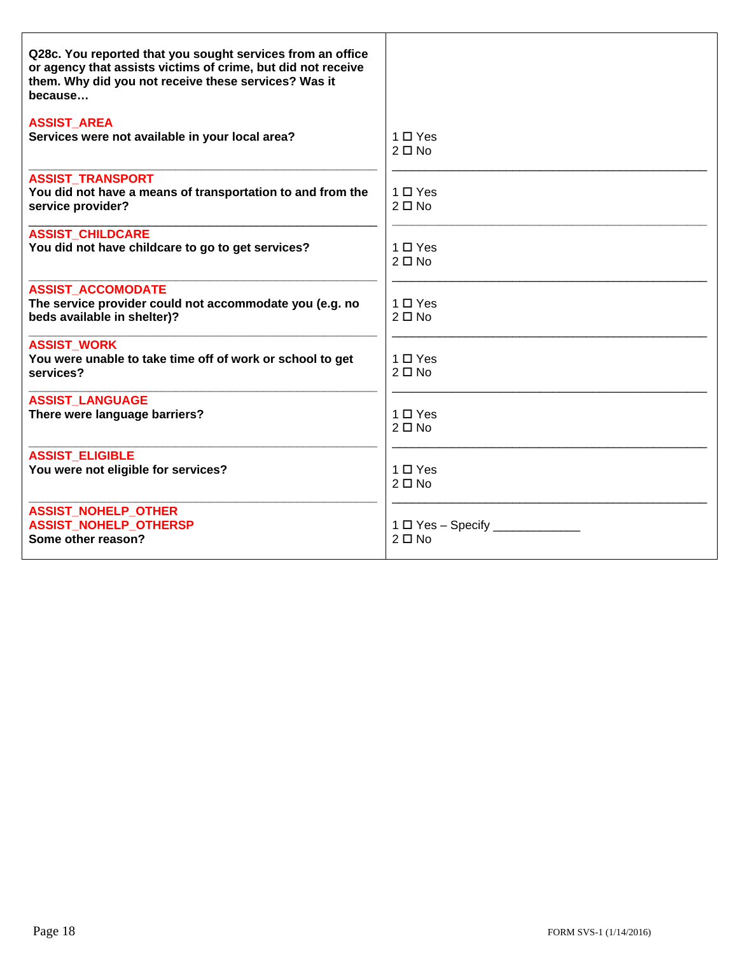| Q28c. You reported that you sought services from an office<br>or agency that assists victims of crime, but did not receive<br>them. Why did you not receive these services? Was it<br>because |                                         |
|-----------------------------------------------------------------------------------------------------------------------------------------------------------------------------------------------|-----------------------------------------|
| <b>ASSIST AREA</b><br>Services were not available in your local area?                                                                                                                         | $1 \Box Y$ es<br>$2 \Box$ No            |
| <b>ASSIST TRANSPORT</b><br>You did not have a means of transportation to and from the<br>service provider?                                                                                    | $1 \square$ Yes<br>$2 \Box$ No          |
| <b>ASSIST CHILDCARE</b><br>You did not have childcare to go to get services?                                                                                                                  | $1 \Box Y$ es<br>$2 \Box$ No            |
| <b>ASSIST ACCOMODATE</b><br>The service provider could not accommodate you (e.g. no<br>beds available in shelter)?                                                                            | $1 \Box Y$ es<br>$2 \Box$ No            |
| <b>ASSIST_WORK</b><br>You were unable to take time off of work or school to get<br>services?                                                                                                  | $1 \Box Y$ es<br>$2 \Box$ No            |
| <b>ASSIST LANGUAGE</b><br>There were language barriers?                                                                                                                                       | $1 \Box Y$ es<br>$2 \Box$ No            |
| <b>ASSIST ELIGIBLE</b><br>You were not eligible for services?                                                                                                                                 | $1 \Box Y$ es<br>$2 \Box$ No            |
| <b>ASSIST_NOHELP_OTHER</b><br><b>ASSIST NOHELP OTHERSP</b><br>Some other reason?                                                                                                              | $1 \Box$ Yes - Specify _<br>$2 \Box$ No |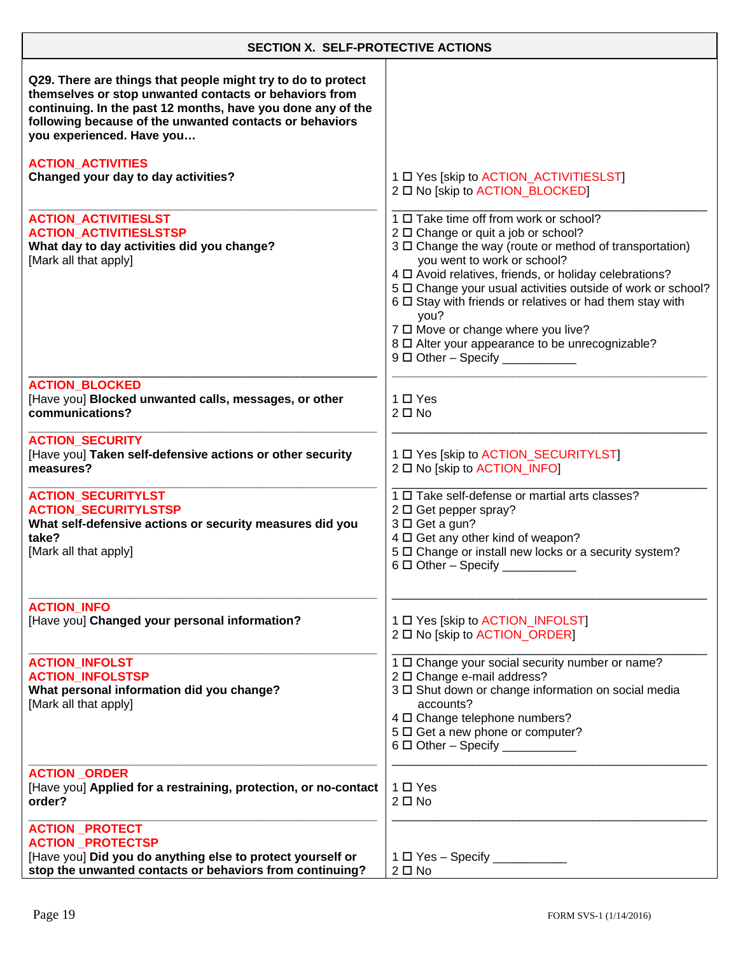| <b>SECTION X. SELF-PROTECTIVE ACTIONS</b>                                                                                                                                                                                                                                     |                                                                                                                                                                                                                                                                                                                                                                                                                                                                                                                         |
|-------------------------------------------------------------------------------------------------------------------------------------------------------------------------------------------------------------------------------------------------------------------------------|-------------------------------------------------------------------------------------------------------------------------------------------------------------------------------------------------------------------------------------------------------------------------------------------------------------------------------------------------------------------------------------------------------------------------------------------------------------------------------------------------------------------------|
| Q29. There are things that people might try to do to protect<br>themselves or stop unwanted contacts or behaviors from<br>continuing. In the past 12 months, have you done any of the<br>following because of the unwanted contacts or behaviors<br>you experienced. Have you |                                                                                                                                                                                                                                                                                                                                                                                                                                                                                                                         |
| <b>ACTION ACTIVITIES</b><br>Changed your day to day activities?                                                                                                                                                                                                               | 1 D Yes [skip to ACTION_ACTIVITIESLST]<br>2 □ No [skip to ACTION_BLOCKED]                                                                                                                                                                                                                                                                                                                                                                                                                                               |
| <b>ACTION_ACTIVITIESLST</b><br><b>ACTION ACTIVITIESLSTSP</b><br>What day to day activities did you change?<br>[Mark all that apply]                                                                                                                                           | 1 □ Take time off from work or school?<br>2 □ Change or quit a job or school?<br>3 $\Box$ Change the way (route or method of transportation)<br>you went to work or school?<br>4 $\square$ Avoid relatives, friends, or holiday celebrations?<br>5 O Change your usual activities outside of work or school?<br>6 $\Box$ Stay with friends or relatives or had them stay with<br>you?<br>7 0 Move or change where you live?<br>8 □ Alter your appearance to be unrecognizable?<br>$9 \Box$ Other - Specify ____________ |
| <b>ACTION BLOCKED</b><br>[Have you] Blocked unwanted calls, messages, or other<br>communications?                                                                                                                                                                             | 1 □ Yes<br>$2 \Box$ No                                                                                                                                                                                                                                                                                                                                                                                                                                                                                                  |
| <b>ACTION SECURITY</b><br>[Have you] Taken self-defensive actions or other security<br>measures?                                                                                                                                                                              | 1 O Yes [skip to ACTION_SECURITYLST]<br>2 □ No [skip to ACTION_INFO]                                                                                                                                                                                                                                                                                                                                                                                                                                                    |
| <b>ACTION_SECURITYLST</b><br><b>ACTION_SECURITYLSTSP</b><br>What self-defensive actions or security measures did you<br>take?<br>[Mark all that apply]                                                                                                                        | 1 □ Take self-defense or martial arts classes?<br>2 □ Get pepper spray?<br>3 □ Get a gun?<br>4 O Get any other kind of weapon?<br>5 O Change or install new locks or a security system?<br>6 □ Other - Specify                                                                                                                                                                                                                                                                                                          |
| <b>ACTION INFO</b><br>[Have you] Changed your personal information?                                                                                                                                                                                                           | 1 D Yes [skip to ACTION_INFOLST]<br>2 O No [skip to ACTION ORDER]                                                                                                                                                                                                                                                                                                                                                                                                                                                       |
| <b>ACTION_INFOLST</b><br><b>ACTION INFOLSTSP</b><br>What personal information did you change?<br>[Mark all that apply]                                                                                                                                                        | 1 O Change your social security number or name?<br>2 □ Change e-mail address?<br>3 D Shut down or change information on social media<br>accounts?<br>4 D Change telephone numbers?<br>5 $\Box$ Get a new phone or computer?<br>$6 \Box$ Other - Specify ____________                                                                                                                                                                                                                                                    |
| <b>ACTION ORDER</b><br>[Have you] Applied for a restraining, protection, or no-contact<br>order?                                                                                                                                                                              | 1 O Yes<br>$2 \Box$ No                                                                                                                                                                                                                                                                                                                                                                                                                                                                                                  |
| <b>ACTION PROTECT</b><br><b>ACTION PROTECTSP</b>                                                                                                                                                                                                                              |                                                                                                                                                                                                                                                                                                                                                                                                                                                                                                                         |
| [Have you] Did you do anything else to protect yourself or<br>stop the unwanted contacts or behaviors from continuing?                                                                                                                                                        | $2 \Box$ No                                                                                                                                                                                                                                                                                                                                                                                                                                                                                                             |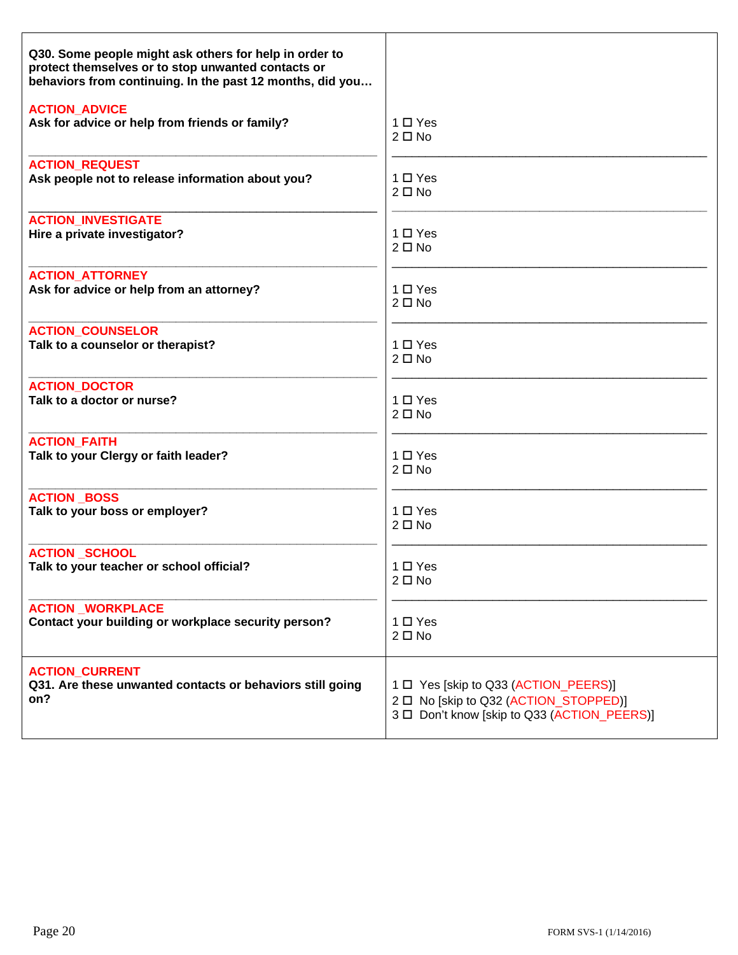| Q30. Some people might ask others for help in order to<br>protect themselves or to stop unwanted contacts or<br>behaviors from continuing. In the past 12 months, did you |                                             |
|---------------------------------------------------------------------------------------------------------------------------------------------------------------------------|---------------------------------------------|
| <b>ACTION ADVICE</b>                                                                                                                                                      | $1 \Box Y$ es                               |
| Ask for advice or help from friends or family?                                                                                                                            | $2 \Box$ No                                 |
| <b>ACTION REQUEST</b>                                                                                                                                                     | $1 \Box Y$ es                               |
| Ask people not to release information about you?                                                                                                                          | $2 \Box$ No                                 |
| <b>ACTION INVESTIGATE</b>                                                                                                                                                 | $1 \Box Y$ es                               |
| Hire a private investigator?                                                                                                                                              | $2 \Box$ No                                 |
| <b>ACTION ATTORNEY</b>                                                                                                                                                    | 1 □ Yes                                     |
| Ask for advice or help from an attorney?                                                                                                                                  | $2 \Box$ No                                 |
| <b>ACTION_COUNSELOR</b>                                                                                                                                                   | $1 \Box Y$ es                               |
| Talk to a counselor or therapist?                                                                                                                                         | $2 \Box$ No                                 |
| <b>ACTION DOCTOR</b>                                                                                                                                                      | $1 \Box Y$ es                               |
| Talk to a doctor or nurse?                                                                                                                                                | $2 \Box$ No                                 |
| <b>ACTION FAITH</b>                                                                                                                                                       | 1 □ Yes                                     |
| Talk to your Clergy or faith leader?                                                                                                                                      | $2 \Box$ No                                 |
| <b>ACTION BOSS</b>                                                                                                                                                        | 1 □ Yes                                     |
| Talk to your boss or employer?                                                                                                                                            | $2 \Box$ No                                 |
| <b>ACTION SCHOOL</b>                                                                                                                                                      | 1 □ Yes                                     |
| Talk to your teacher or school official?                                                                                                                                  | $2 \Box$ No                                 |
| <b>ACTION WORKPLACE</b>                                                                                                                                                   | $1 \Box Y$ es                               |
| Contact your building or workplace security person?                                                                                                                       | $2 \Box$ No                                 |
| <b>ACTION CURRENT</b>                                                                                                                                                     | 1 D Yes [skip to Q33 (ACTION_PEERS)]        |
| Q31. Are these unwanted contacts or behaviors still going                                                                                                                 | 2 □ No [skip to Q32 (ACTION_STOPPED)]       |
| on?                                                                                                                                                                       | 3 D Don't know [skip to Q33 (ACTION PEERS)] |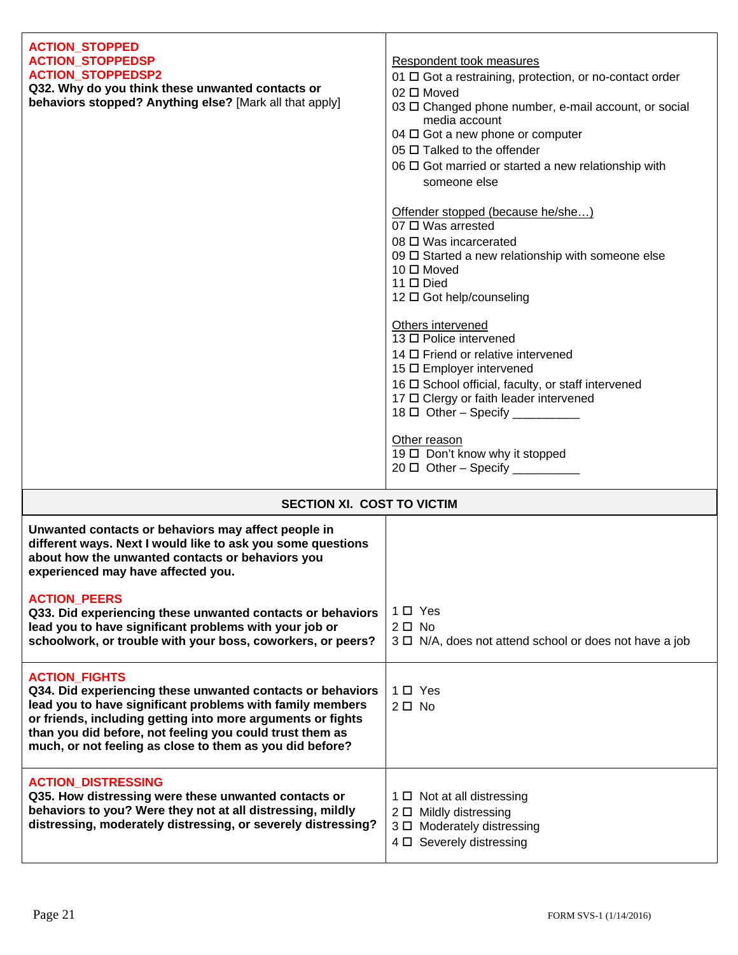| <b>ACTION_STOPPED</b>                                                                                                 |                                                                      |
|-----------------------------------------------------------------------------------------------------------------------|----------------------------------------------------------------------|
| <b>ACTION STOPPEDSP</b>                                                                                               | Respondent took measures                                             |
| <b>ACTION_STOPPEDSP2</b>                                                                                              | 01 □ Got a restraining, protection, or no-contact order              |
| Q32. Why do you think these unwanted contacts or                                                                      | 02 □ Moved                                                           |
| behaviors stopped? Anything else? [Mark all that apply]                                                               | 03 $\Box$ Changed phone number, e-mail account, or social            |
|                                                                                                                       | media account                                                        |
|                                                                                                                       | 04 $\Box$ Got a new phone or computer<br>05 □ Talked to the offender |
|                                                                                                                       | 06 $\Box$ Got married or started a new relationship with             |
|                                                                                                                       | someone else                                                         |
|                                                                                                                       |                                                                      |
|                                                                                                                       | Offender stopped (because he/she)                                    |
|                                                                                                                       | $07 \square$ Was arrested                                            |
|                                                                                                                       | 08 □ Was incarcerated                                                |
|                                                                                                                       | 09 □ Started a new relationship with someone else                    |
|                                                                                                                       | $10 \Box$ Moved<br>$11 \Box$ Died                                    |
|                                                                                                                       | 12 □ Got help/counseling                                             |
|                                                                                                                       |                                                                      |
|                                                                                                                       | Others intervened                                                    |
|                                                                                                                       | 13 □ Police intervened                                               |
|                                                                                                                       | 14 □ Friend or relative intervened<br>15 □ Employer intervened       |
|                                                                                                                       | 16 □ School official, faculty, or staff intervened                   |
|                                                                                                                       | 17 O Clergy or faith leader intervened                               |
|                                                                                                                       | $18 \Box$ Other - Specify ___________                                |
|                                                                                                                       | Other reason                                                         |
|                                                                                                                       | 19 □ Don't know why it stopped                                       |
|                                                                                                                       | $20 \Box$ Other - Specify __________                                 |
|                                                                                                                       |                                                                      |
| SECTION XI. COST TO VICTIM                                                                                            |                                                                      |
| Unwanted contacts or behaviors may affect people in                                                                   |                                                                      |
| different ways. Next I would like to ask you some questions<br>about how the unwanted contacts or behaviors you       |                                                                      |
| experienced may have affected you.                                                                                    |                                                                      |
|                                                                                                                       |                                                                      |
| <b>ACTION_PEERS</b>                                                                                                   |                                                                      |
| Q33. Did experiencing these unwanted contacts or behaviors                                                            | 1 O Yes<br>$2 \Box$ No                                               |
| lead you to have significant problems with your job or<br>schoolwork, or trouble with your boss, coworkers, or peers? | 3 □ N/A, does not attend school or does not have a job               |
|                                                                                                                       |                                                                      |
| <b>ACTION FIGHTS</b>                                                                                                  |                                                                      |
| Q34. Did experiencing these unwanted contacts or behaviors                                                            | $1 \Box$ Yes                                                         |
| lead you to have significant problems with family members                                                             | $2 \Box$ No                                                          |
| or friends, including getting into more arguments or fights                                                           |                                                                      |
| than you did before, not feeling you could trust them as<br>much, or not feeling as close to them as you did before?  |                                                                      |
|                                                                                                                       |                                                                      |
| <b>ACTION_DISTRESSING</b>                                                                                             |                                                                      |
|                                                                                                                       |                                                                      |
| Q35. How distressing were these unwanted contacts or                                                                  | $1 \Box$ Not at all distressing                                      |
| behaviors to you? Were they not at all distressing, mildly                                                            | 2 □ Mildly distressing                                               |
| distressing, moderately distressing, or severely distressing?                                                         | 3 D Moderately distressing                                           |
|                                                                                                                       | 4 D Severely distressing                                             |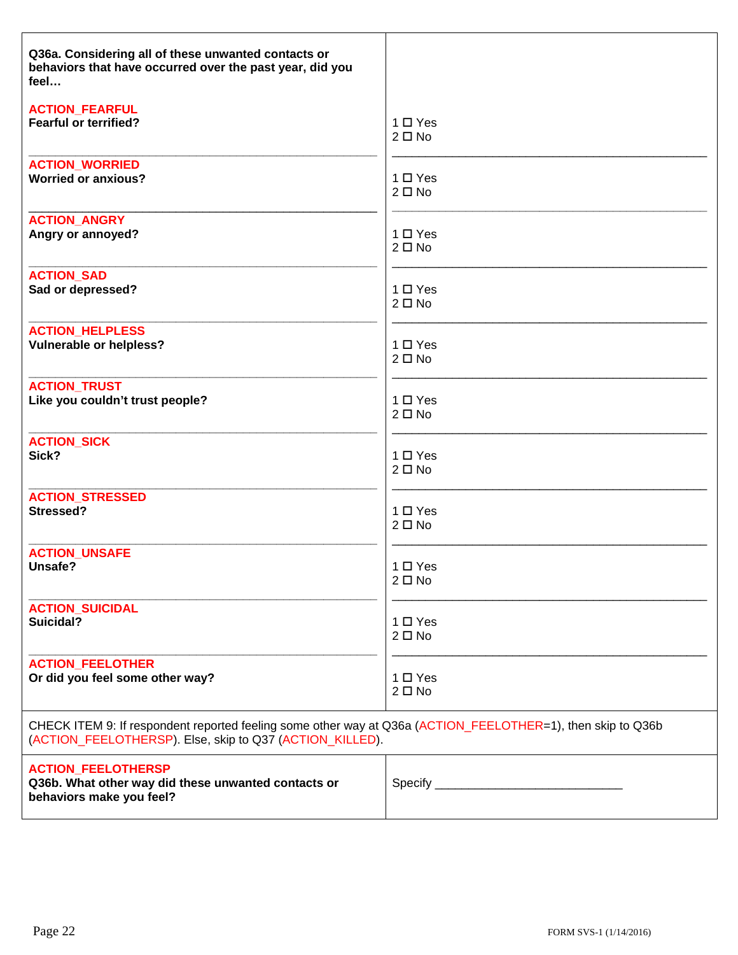| Q36a. Considering all of these unwanted contacts or<br>behaviors that have occurred over the past year, did you<br>feel                                                 |               |
|-------------------------------------------------------------------------------------------------------------------------------------------------------------------------|---------------|
| <b>ACTION_FEARFUL</b>                                                                                                                                                   | $1 \Box Y$ es |
| <b>Fearful or terrified?</b>                                                                                                                                            | $2 \Box$ No   |
| <b>ACTION_WORRIED</b>                                                                                                                                                   | 1 O Yes       |
| <b>Worried or anxious?</b>                                                                                                                                              | $2 \Box$ No   |
| <b>ACTION ANGRY</b>                                                                                                                                                     | 1 □ Yes       |
| Angry or annoyed?                                                                                                                                                       | $2 \Box$ No   |
| <b>ACTION_SAD</b>                                                                                                                                                       | 1 O Yes       |
| Sad or depressed?                                                                                                                                                       | $2 \Box$ No   |
| <b>ACTION_HELPLESS</b>                                                                                                                                                  | 1 O Yes       |
| <b>Vulnerable or helpless?</b>                                                                                                                                          | $2 \Box$ No   |
| <b>ACTION_TRUST</b>                                                                                                                                                     | 1 □ Yes       |
| Like you couldn't trust people?                                                                                                                                         | $2 \Box$ No   |
| <b>ACTION_SICK</b>                                                                                                                                                      | $1 \Box Y$ es |
| Sick?                                                                                                                                                                   | $2 \Box$ No   |
| <b>ACTION STRESSED</b>                                                                                                                                                  | 1 O Yes       |
| Stressed?                                                                                                                                                               | $2 \Box$ No   |
| <b>ACTION_UNSAFE</b>                                                                                                                                                    | 1 O Yes       |
| Unsafe?                                                                                                                                                                 | $2 \Box$ No   |
| <b>ACTION SUICIDAL</b>                                                                                                                                                  | $1 \Box Y$ es |
| Suicidal?                                                                                                                                                               | $2 \Box$ No   |
| <b>ACTION_FEELOTHER</b>                                                                                                                                                 | 1 □ Yes       |
| Or did you feel some other way?                                                                                                                                         | $2 \Box$ No   |
| CHECK ITEM 9: If respondent reported feeling some other way at Q36a (ACTION_FEELOTHER=1), then skip to Q36b<br>(ACTION_FEELOTHERSP). Else, skip to Q37 (ACTION_KILLED). |               |
| <b>ACTION_FEELOTHERSP</b><br>Q36b. What other way did these unwanted contacts or<br>behaviors make you feel?                                                            |               |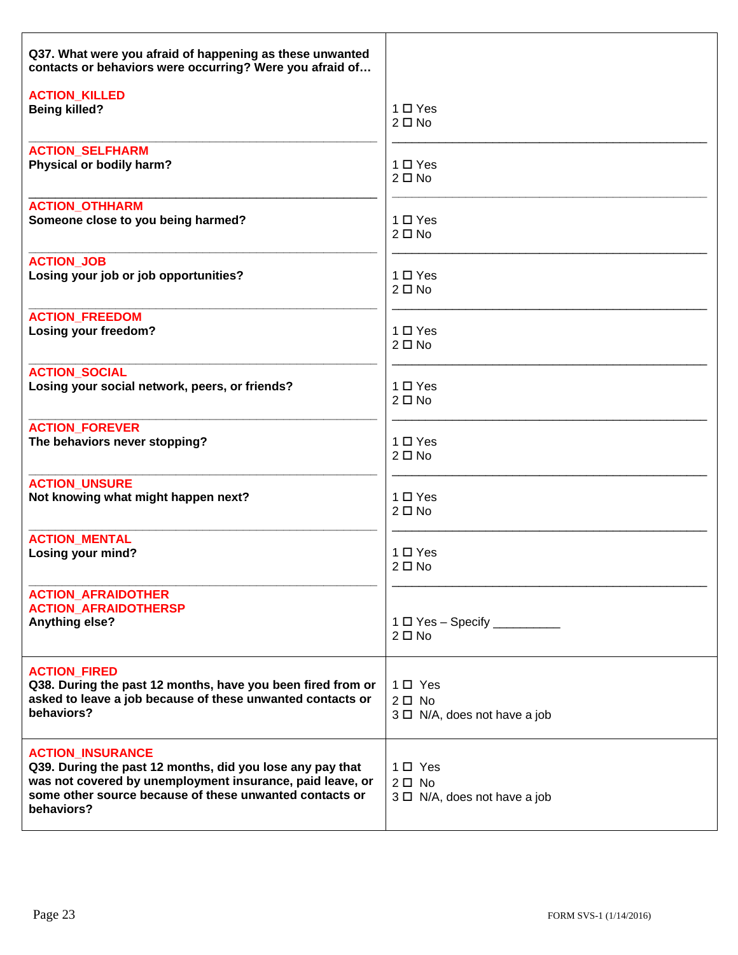| Q37. What were you afraid of happening as these unwanted<br>contacts or behaviors were occurring? Were you afraid of                                                                                                       |                                                               |
|----------------------------------------------------------------------------------------------------------------------------------------------------------------------------------------------------------------------------|---------------------------------------------------------------|
| <b>ACTION KILLED</b>                                                                                                                                                                                                       | $1 \Box Y$ es                                                 |
| <b>Being killed?</b>                                                                                                                                                                                                       | $2 \Box$ No                                                   |
| <b>ACTION SELFHARM</b>                                                                                                                                                                                                     | $1 \Box Y$ es                                                 |
| Physical or bodily harm?                                                                                                                                                                                                   | $2 \Box$ No                                                   |
| <b>ACTION_OTHHARM</b>                                                                                                                                                                                                      | $1 \Box Y$ es                                                 |
| Someone close to you being harmed?                                                                                                                                                                                         | $2 \Box$ No                                                   |
| <b>ACTION JOB</b>                                                                                                                                                                                                          | $1 \Box Y$ es                                                 |
| Losing your job or job opportunities?                                                                                                                                                                                      | $2 \Box$ No                                                   |
| <b>ACTION_FREEDOM</b>                                                                                                                                                                                                      | $1 \Box Y$ es                                                 |
| Losing your freedom?                                                                                                                                                                                                       | $2 \Box$ No                                                   |
| <b>ACTION SOCIAL</b>                                                                                                                                                                                                       | $1 \Box Y$ es                                                 |
| Losing your social network, peers, or friends?                                                                                                                                                                             | $2 \Box$ No                                                   |
| <b>ACTION FOREVER</b>                                                                                                                                                                                                      | $1 \Box Y$ es                                                 |
| The behaviors never stopping?                                                                                                                                                                                              | $2 \Box$ No                                                   |
| <b>ACTION UNSURE</b>                                                                                                                                                                                                       | $1 \Box Y$ es                                                 |
| Not knowing what might happen next?                                                                                                                                                                                        | $2 \Box$ No                                                   |
| <b>ACTION MENTAL</b>                                                                                                                                                                                                       | $1 \Box Y$ es                                                 |
| Losing your mind?                                                                                                                                                                                                          | $2 \Box$ No                                                   |
| <b>ACTION_AFRAIDOTHER</b><br><b>ACTION_AFRAIDOTHERSP</b><br><b>Anything else?</b>                                                                                                                                          | $1 \Box Y$ es - Specify ___________<br>$2 \Box$ No            |
| <b>ACTION FIRED</b><br>Q38. During the past 12 months, have you been fired from or<br>asked to leave a job because of these unwanted contacts or<br>behaviors?                                                             | 1 □ Yes<br>$2\square$ No<br>$3 \Box$ N/A, does not have a job |
| <b>ACTION_INSURANCE</b><br>Q39. During the past 12 months, did you lose any pay that<br>was not covered by unemployment insurance, paid leave, or<br>some other source because of these unwanted contacts or<br>behaviors? | 1□ Yes<br>$2\square$ No<br>$3 \Box$ N/A, does not have a job  |